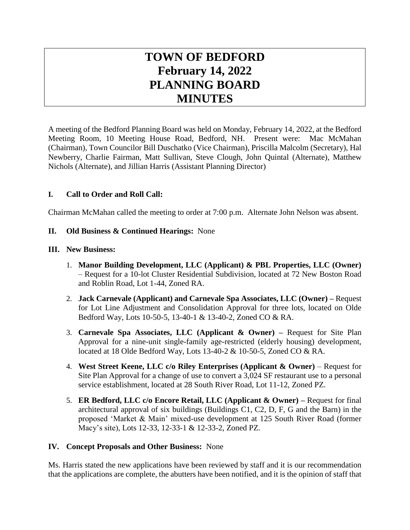# **TOWN OF BEDFORD February 14, 2022 PLANNING BOARD MINUTES**

A meeting of the Bedford Planning Board was held on Monday, February 14, 2022, at the Bedford Meeting Room, 10 Meeting House Road, Bedford, NH. Present were: Mac McMahan (Chairman), Town Councilor Bill Duschatko (Vice Chairman), Priscilla Malcolm (Secretary), Hal Newberry, Charlie Fairman, Matt Sullivan, Steve Clough, John Quintal (Alternate), Matthew Nichols (Alternate), and Jillian Harris (Assistant Planning Director)

# **I. Call to Order and Roll Call:**

Chairman McMahan called the meeting to order at 7:00 p.m. Alternate John Nelson was absent.

#### **II. Old Business & Continued Hearings:** None

#### **III. New Business:**

- 1. **Manor Building Development, LLC (Applicant) & PBL Properties, LLC (Owner)** – Request for a 10-lot Cluster Residential Subdivision, located at 72 New Boston Road and Roblin Road, Lot 1-44, Zoned RA.
- 2. **Jack Carnevale (Applicant) and Carnevale Spa Associates, LLC (Owner) –** Request for Lot Line Adjustment and Consolidation Approval for three lots, located on Olde Bedford Way, Lots 10-50-5, 13-40-1 & 13-40-2, Zoned CO & RA.
- 3. **Carnevale Spa Associates, LLC (Applicant & Owner) –** Request for Site Plan Approval for a nine-unit single-family age-restricted (elderly housing) development, located at 18 Olde Bedford Way, Lots 13-40-2 & 10-50-5, Zoned CO & RA.
- 4. **West Street Keene, LLC c/o Riley Enterprises (Applicant & Owner)** Request for Site Plan Approval for a change of use to convert a 3,024 SF restaurant use to a personal service establishment, located at 28 South River Road, Lot 11-12, Zoned PZ.
- 5. **ER Bedford, LLC c/o Encore Retail, LLC (Applicant & Owner) –** Request for final architectural approval of six buildings (Buildings C1, C2, D, F, G and the Barn) in the proposed 'Market & Main' mixed-use development at 125 South River Road (former Macy's site), Lots 12-33, 12-33-1 & 12-33-2, Zoned PZ.

#### **IV. Concept Proposals and Other Business:** None

Ms. Harris stated the new applications have been reviewed by staff and it is our recommendation that the applications are complete, the abutters have been notified, and it is the opinion of staff that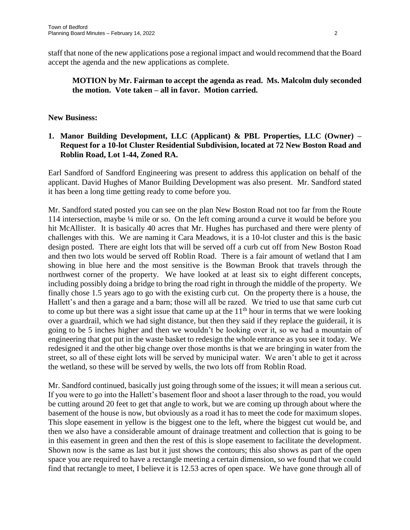staff that none of the new applications pose a regional impact and would recommend that the Board accept the agenda and the new applications as complete.

# **MOTION by Mr. Fairman to accept the agenda as read. Ms. Malcolm duly seconded the motion. Vote taken – all in favor. Motion carried.**

## **New Business:**

# **1. Manor Building Development, LLC (Applicant) & PBL Properties, LLC (Owner) – Request for a 10-lot Cluster Residential Subdivision, located at 72 New Boston Road and Roblin Road, Lot 1-44, Zoned RA.**

Earl Sandford of Sandford Engineering was present to address this application on behalf of the applicant. David Hughes of Manor Building Development was also present. Mr. Sandford stated it has been a long time getting ready to come before you.

Mr. Sandford stated posted you can see on the plan New Boston Road not too far from the Route 114 intersection, maybe ¼ mile or so. On the left coming around a curve it would be before you hit McAllister. It is basically 40 acres that Mr. Hughes has purchased and there were plenty of challenges with this. We are naming it Cara Meadows, it is a 10-lot cluster and this is the basic design posted. There are eight lots that will be served off a curb cut off from New Boston Road and then two lots would be served off Roblin Road. There is a fair amount of wetland that I am showing in blue here and the most sensitive is the Bowman Brook that travels through the northwest corner of the property. We have looked at at least six to eight different concepts, including possibly doing a bridge to bring the road right in through the middle of the property. We finally chose 1.5 years ago to go with the existing curb cut. On the property there is a house, the Hallett's and then a garage and a barn; those will all be razed. We tried to use that same curb cut to come up but there was a sight issue that came up at the  $11<sup>th</sup>$  hour in terms that we were looking over a guardrail, which we had sight distance, but then they said if they replace the guiderail, it is going to be 5 inches higher and then we wouldn't be looking over it, so we had a mountain of engineering that got put in the waste basket to redesign the whole entrance as you see it today. We redesigned it and the other big change over those months is that we are bringing in water from the street, so all of these eight lots will be served by municipal water. We aren't able to get it across the wetland, so these will be served by wells, the two lots off from Roblin Road.

Mr. Sandford continued, basically just going through some of the issues; it will mean a serious cut. If you were to go into the Hallett's basement floor and shoot a laser through to the road, you would be cutting around 20 feet to get that angle to work, but we are coming up through about where the basement of the house is now, but obviously as a road it has to meet the code for maximum slopes. This slope easement in yellow is the biggest one to the left, where the biggest cut would be, and then we also have a considerable amount of drainage treatment and collection that is going to be in this easement in green and then the rest of this is slope easement to facilitate the development. Shown now is the same as last but it just shows the contours; this also shows as part of the open space you are required to have a rectangle meeting a certain dimension, so we found that we could find that rectangle to meet, I believe it is 12.53 acres of open space. We have gone through all of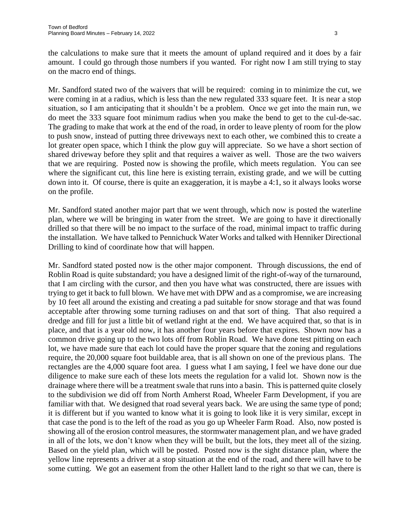the calculations to make sure that it meets the amount of upland required and it does by a fair amount. I could go through those numbers if you wanted. For right now I am still trying to stay on the macro end of things.

Mr. Sandford stated two of the waivers that will be required: coming in to minimize the cut, we were coming in at a radius, which is less than the new regulated 333 square feet. It is near a stop situation, so I am anticipating that it shouldn't be a problem. Once we get into the main run, we do meet the 333 square foot minimum radius when you make the bend to get to the cul-de-sac. The grading to make that work at the end of the road, in order to leave plenty of room for the plow to push snow, instead of putting three driveways next to each other, we combined this to create a lot greater open space, which I think the plow guy will appreciate. So we have a short section of shared driveway before they split and that requires a waiver as well. Those are the two waivers that we are requiring. Posted now is showing the profile, which meets regulation. You can see where the significant cut, this line here is existing terrain, existing grade, and we will be cutting down into it. Of course, there is quite an exaggeration, it is maybe a 4:1, so it always looks worse on the profile.

Mr. Sandford stated another major part that we went through, which now is posted the waterline plan, where we will be bringing in water from the street. We are going to have it directionally drilled so that there will be no impact to the surface of the road, minimal impact to traffic during the installation. We have talked to Pennichuck Water Works and talked with Henniker Directional Drilling to kind of coordinate how that will happen.

Mr. Sandford stated posted now is the other major component. Through discussions, the end of Roblin Road is quite substandard; you have a designed limit of the right-of-way of the turnaround, that I am circling with the cursor, and then you have what was constructed, there are issues with trying to get it back to full blown. We have met with DPW and as a compromise, we are increasing by 10 feet all around the existing and creating a pad suitable for snow storage and that was found acceptable after throwing some turning radiuses on and that sort of thing. That also required a dredge and fill for just a little bit of wetland right at the end. We have acquired that, so that is in place, and that is a year old now, it has another four years before that expires. Shown now has a common drive going up to the two lots off from Roblin Road. We have done test pitting on each lot, we have made sure that each lot could have the proper square that the zoning and regulations require, the 20,000 square foot buildable area, that is all shown on one of the previous plans. The rectangles are the 4,000 square foot area. I guess what I am saying, I feel we have done our due diligence to make sure each of these lots meets the regulation for a valid lot. Shown now is the drainage where there will be a treatment swale that runs into a basin. This is patterned quite closely to the subdivision we did off from North Amherst Road, Wheeler Farm Development, if you are familiar with that. We designed that road several years back. We are using the same type of pond; it is different but if you wanted to know what it is going to look like it is very similar, except in that case the pond is to the left of the road as you go up Wheeler Farm Road. Also, now posted is showing all of the erosion control measures, the stormwater management plan, and we have graded in all of the lots, we don't know when they will be built, but the lots, they meet all of the sizing. Based on the yield plan, which will be posted. Posted now is the sight distance plan, where the yellow line represents a driver at a stop situation at the end of the road, and there will have to be some cutting. We got an easement from the other Hallett land to the right so that we can, there is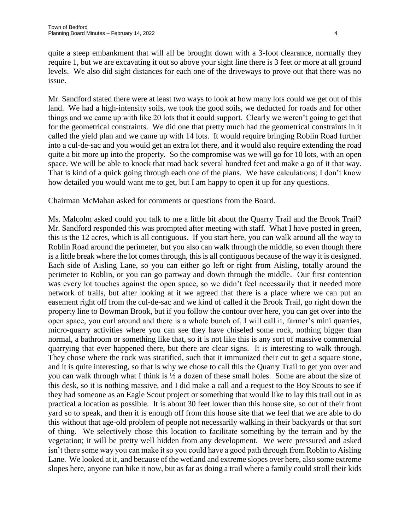quite a steep embankment that will all be brought down with a 3-foot clearance, normally they require 1, but we are excavating it out so above your sight line there is 3 feet or more at all ground levels. We also did sight distances for each one of the driveways to prove out that there was no issue.

Mr. Sandford stated there were at least two ways to look at how many lots could we get out of this land. We had a high-intensity soils, we took the good soils, we deducted for roads and for other things and we came up with like 20 lots that it could support. Clearly we weren't going to get that for the geometrical constraints. We did one that pretty much had the geometrical constraints in it called the yield plan and we came up with 14 lots. It would require bringing Roblin Road further into a cul-de-sac and you would get an extra lot there, and it would also require extending the road quite a bit more up into the property. So the compromise was we will go for 10 lots, with an open space. We will be able to knock that road back several hundred feet and make a go of it that way. That is kind of a quick going through each one of the plans. We have calculations; I don't know how detailed you would want me to get, but I am happy to open it up for any questions.

Chairman McMahan asked for comments or questions from the Board.

Ms. Malcolm asked could you talk to me a little bit about the Quarry Trail and the Brook Trail? Mr. Sandford responded this was prompted after meeting with staff. What I have posted in green, this is the 12 acres, which is all contiguous. If you start here, you can walk around all the way to Roblin Road around the perimeter, but you also can walk through the middle, so even though there is a little break where the lot comes through, this is all contiguous because of the way it is designed. Each side of Aisling Lane, so you can either go left or right from Aisling, totally around the perimeter to Roblin, or you can go partway and down through the middle. Our first contention was every lot touches against the open space, so we didn't feel necessarily that it needed more network of trails, but after looking at it we agreed that there is a place where we can put an easement right off from the cul-de-sac and we kind of called it the Brook Trail, go right down the property line to Bowman Brook, but if you follow the contour over here, you can get over into the open space, you curl around and there is a whole bunch of, I will call it, farmer's mini quarries, micro-quarry activities where you can see they have chiseled some rock, nothing bigger than normal, a bathroom or something like that, so it is not like this is any sort of massive commercial quarrying that ever happened there, but there are clear signs. It is interesting to walk through. They chose where the rock was stratified, such that it immunized their cut to get a square stone, and it is quite interesting, so that is why we chose to call this the Quarry Trail to get you over and you can walk through what I think is  $\frac{1}{2}$  a dozen of these small holes. Some are about the size of this desk, so it is nothing massive, and I did make a call and a request to the Boy Scouts to see if they had someone as an Eagle Scout project or something that would like to lay this trail out in as practical a location as possible. It is about 30 feet lower than this house site, so out of their front yard so to speak, and then it is enough off from this house site that we feel that we are able to do this without that age-old problem of people not necessarily walking in their backyards or that sort of thing. We selectively chose this location to facilitate something by the terrain and by the vegetation; it will be pretty well hidden from any development. We were pressured and asked isn't there some way you can make it so you could have a good path through from Roblin to Aisling Lane. We looked at it, and because of the wetland and extreme slopes over here, also some extreme slopes here, anyone can hike it now, but as far as doing a trail where a family could stroll their kids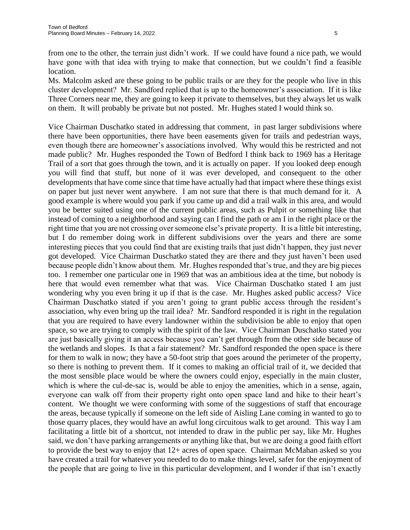from one to the other, the terrain just didn't work. If we could have found a nice path, we would have gone with that idea with trying to make that connection, but we couldn't find a feasible location.

Ms. Malcolm asked are these going to be public trails or are they for the people who live in this cluster development? Mr. Sandford replied that is up to the homeowner's association. If it is like Three Corners near me, they are going to keep it private to themselves, but they always let us walk on them. It will probably be private but not posted. Mr. Hughes stated I would think so.

Vice Chairman Duschatko stated in addressing that comment, in past larger subdivisions where there have been opportunities, there have been easements given for trails and pedestrian ways, even though there are homeowner's associations involved. Why would this be restricted and not made public? Mr. Hughes responded the Town of Bedford I think back to 1969 has a Heritage Trail of a sort that goes through the town, and it is actually on paper. If you looked deep enough you will find that stuff, but none of it was ever developed, and consequent to the other developments that have come since that time have actually had that impact where these things exist on paper but just never went anywhere. I am not sure that there is that much demand for it. A good example is where would you park if you came up and did a trail walk in this area, and would you be better suited using one of the current public areas, such as Pulpit or something like that instead of coming to a neighborhood and saying can I find the path or am I in the right place or the right time that you are not crossing over someone else's private property. It is a little bit interesting, but I do remember doing work in different subdivisions over the years and there are some interesting pieces that you could find that are existing trails that just didn't happen, they just never got developed. Vice Chairman Duschatko stated they are there and they just haven't been used because people didn't know about them. Mr. Hughes responded that's true, and they are big pieces too. I remember one particular one in 1969 that was an ambitious idea at the time, but nobody is here that would even remember what that was. Vice Chairman Duschatko stated I am just wondering why you even bring it up if that is the case. Mr. Hughes asked public access? Vice Chairman Duschatko stated if you aren't going to grant public access through the resident's association, why even bring up the trail idea? Mr. Sandford responded it is right in the regulation that you are required to have every landowner within the subdivision be able to enjoy that open space, so we are trying to comply with the spirit of the law. Vice Chairman Duschatko stated you are just basically giving it an access because you can't get through from the other side because of the wetlands and slopes. Is that a fair statement? Mr. Sandford responded the open space is there for them to walk in now; they have a 50-foot strip that goes around the perimeter of the property, so there is nothing to prevent them. If it comes to making an official trail of it, we decided that the most sensible place would be where the owners could enjoy, especially in the main cluster, which is where the cul-de-sac is, would be able to enjoy the amenities, which in a sense, again, everyone can walk off from their property right onto open space land and hike to their heart's content. We thought we were conforming with some of the suggestions of staff that encourage the areas, because typically if someone on the left side of Aisling Lane coming in wanted to go to those quarry places, they would have an awful long circuitous walk to get around. This way I am facilitating a little bit of a shortcut, not intended to draw in the public per say, like Mr. Hughes said, we don't have parking arrangements or anything like that, but we are doing a good faith effort to provide the best way to enjoy that 12+ acres of open space. Chairman McMahan asked so you have created a trail for whatever you needed to do to make things level, safer for the enjoyment of the people that are going to live in this particular development, and I wonder if that isn't exactly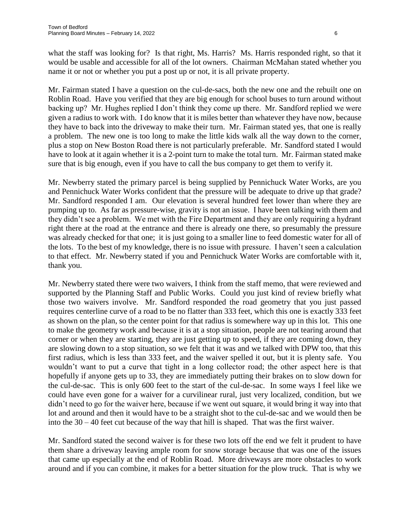what the staff was looking for? Is that right, Ms. Harris? Ms. Harris responded right, so that it would be usable and accessible for all of the lot owners. Chairman McMahan stated whether you name it or not or whether you put a post up or not, it is all private property.

Mr. Fairman stated I have a question on the cul-de-sacs, both the new one and the rebuilt one on Roblin Road. Have you verified that they are big enough for school buses to turn around without backing up? Mr. Hughes replied I don't think they come up there. Mr. Sandford replied we were given a radius to work with. I do know that it is miles better than whatever they have now, because they have to back into the driveway to make their turn. Mr. Fairman stated yes, that one is really a problem. The new one is too long to make the little kids walk all the way down to the corner, plus a stop on New Boston Road there is not particularly preferable. Mr. Sandford stated I would have to look at it again whether it is a 2-point turn to make the total turn. Mr. Fairman stated make sure that is big enough, even if you have to call the bus company to get them to verify it.

Mr. Newberry stated the primary parcel is being supplied by Pennichuck Water Works, are you and Pennichuck Water Works confident that the pressure will be adequate to drive up that grade? Mr. Sandford responded I am. Our elevation is several hundred feet lower than where they are pumping up to. As far as pressure-wise, gravity is not an issue. I have been talking with them and they didn't see a problem. We met with the Fire Department and they are only requiring a hydrant right there at the road at the entrance and there is already one there, so presumably the pressure was already checked for that one; it is just going to a smaller line to feed domestic water for all of the lots. To the best of my knowledge, there is no issue with pressure. I haven't seen a calculation to that effect. Mr. Newberry stated if you and Pennichuck Water Works are comfortable with it, thank you.

Mr. Newberry stated there were two waivers, I think from the staff memo, that were reviewed and supported by the Planning Staff and Public Works. Could you just kind of review briefly what those two waivers involve. Mr. Sandford responded the road geometry that you just passed requires centerline curve of a road to be no flatter than 333 feet, which this one is exactly 333 feet as shown on the plan, so the center point for that radius is somewhere way up in this lot. This one to make the geometry work and because it is at a stop situation, people are not tearing around that corner or when they are starting, they are just getting up to speed, if they are coming down, they are slowing down to a stop situation, so we felt that it was and we talked with DPW too, that this first radius, which is less than 333 feet, and the waiver spelled it out, but it is plenty safe. You wouldn't want to put a curve that tight in a long collector road; the other aspect here is that hopefully if anyone gets up to 33, they are immediately putting their brakes on to slow down for the cul-de-sac. This is only 600 feet to the start of the cul-de-sac. In some ways I feel like we could have even gone for a waiver for a curvilinear rural, just very localized, condition, but we didn't need to go for the waiver here, because if we went out square, it would bring it way into that lot and around and then it would have to be a straight shot to the cul-de-sac and we would then be into the  $30 - 40$  feet cut because of the way that hill is shaped. That was the first waiver.

Mr. Sandford stated the second waiver is for these two lots off the end we felt it prudent to have them share a driveway leaving ample room for snow storage because that was one of the issues that came up especially at the end of Roblin Road. More driveways are more obstacles to work around and if you can combine, it makes for a better situation for the plow truck. That is why we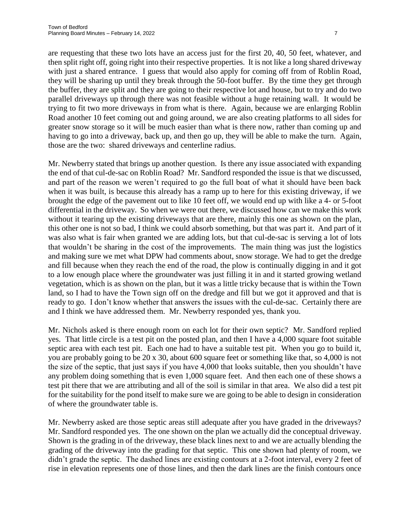are requesting that these two lots have an access just for the first 20, 40, 50 feet, whatever, and then split right off, going right into their respective properties. It is not like a long shared driveway with just a shared entrance. I guess that would also apply for coming off from of Roblin Road, they will be sharing up until they break through the 50-foot buffer. By the time they get through the buffer, they are split and they are going to their respective lot and house, but to try and do two parallel driveways up through there was not feasible without a huge retaining wall. It would be trying to fit two more driveways in from what is there. Again, because we are enlarging Roblin Road another 10 feet coming out and going around, we are also creating platforms to all sides for greater snow storage so it will be much easier than what is there now, rather than coming up and having to go into a driveway, back up, and then go up, they will be able to make the turn. Again, those are the two: shared driveways and centerline radius.

Mr. Newberry stated that brings up another question. Is there any issue associated with expanding the end of that cul-de-sac on Roblin Road? Mr. Sandford responded the issue is that we discussed, and part of the reason we weren't required to go the full boat of what it should have been back when it was built, is because this already has a ramp up to here for this existing driveway, if we brought the edge of the pavement out to like 10 feet off, we would end up with like a 4- or 5-foot differential in the driveway. So when we were out there, we discussed how can we make this work without it tearing up the existing driveways that are there, mainly this one as shown on the plan, this other one is not so bad, I think we could absorb something, but that was part it. And part of it was also what is fair when granted we are adding lots, but that cul-de-sac is serving a lot of lots that wouldn't be sharing in the cost of the improvements. The main thing was just the logistics and making sure we met what DPW had comments about, snow storage. We had to get the dredge and fill because when they reach the end of the road, the plow is continually digging in and it got to a low enough place where the groundwater was just filling it in and it started growing wetland vegetation, which is as shown on the plan, but it was a little tricky because that is within the Town land, so I had to have the Town sign off on the dredge and fill but we got it approved and that is ready to go. I don't know whether that answers the issues with the cul-de-sac. Certainly there are and I think we have addressed them. Mr. Newberry responded yes, thank you.

Mr. Nichols asked is there enough room on each lot for their own septic? Mr. Sandford replied yes. That little circle is a test pit on the posted plan, and then I have a 4,000 square foot suitable septic area with each test pit. Each one had to have a suitable test pit. When you go to build it, you are probably going to be 20 x 30, about 600 square feet or something like that, so 4,000 is not the size of the septic, that just says if you have 4,000 that looks suitable, then you shouldn't have any problem doing something that is even 1,000 square feet. And then each one of these shows a test pit there that we are attributing and all of the soil is similar in that area. We also did a test pit for the suitability for the pond itself to make sure we are going to be able to design in consideration of where the groundwater table is.

Mr. Newberry asked are those septic areas still adequate after you have graded in the driveways? Mr. Sandford responded yes. The one shown on the plan we actually did the conceptual driveway. Shown is the grading in of the driveway, these black lines next to and we are actually blending the grading of the driveway into the grading for that septic. This one shown had plenty of room, we didn't grade the septic. The dashed lines are existing contours at a 2-foot interval, every 2 feet of rise in elevation represents one of those lines, and then the dark lines are the finish contours once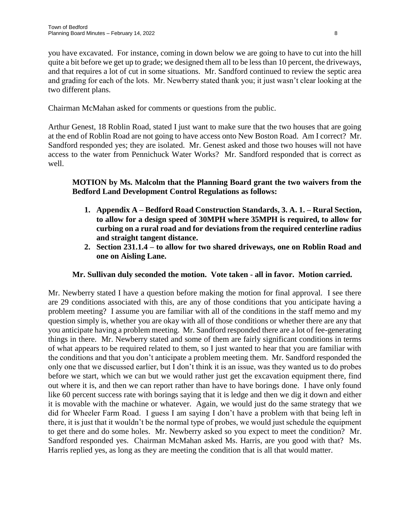you have excavated. For instance, coming in down below we are going to have to cut into the hill quite a bit before we get up to grade; we designed them all to be less than 10 percent, the driveways, and that requires a lot of cut in some situations. Mr. Sandford continued to review the septic area and grading for each of the lots. Mr. Newberry stated thank you; it just wasn't clear looking at the two different plans.

Chairman McMahan asked for comments or questions from the public.

Arthur Genest, 18 Roblin Road, stated I just want to make sure that the two houses that are going at the end of Roblin Road are not going to have access onto New Boston Road. Am I correct? Mr. Sandford responded yes; they are isolated. Mr. Genest asked and those two houses will not have access to the water from Pennichuck Water Works? Mr. Sandford responded that is correct as well.

# **MOTION by Ms. Malcolm that the Planning Board grant the two waivers from the Bedford Land Development Control Regulations as follows:**

- **1. Appendix A – Bedford Road Construction Standards, 3. A. 1. – Rural Section, to allow for a design speed of 30MPH where 35MPH is required, to allow for curbing on a rural road and for deviations from the required centerline radius and straight tangent distance.**
- **2. Section 231.1.4 – to allow for two shared driveways, one on Roblin Road and one on Aisling Lane.**

# **Mr. Sullivan duly seconded the motion. Vote taken - all in favor. Motion carried.**

Mr. Newberry stated I have a question before making the motion for final approval. I see there are 29 conditions associated with this, are any of those conditions that you anticipate having a problem meeting? I assume you are familiar with all of the conditions in the staff memo and my question simply is, whether you are okay with all of those conditions or whether there are any that you anticipate having a problem meeting. Mr. Sandford responded there are a lot of fee-generating things in there. Mr. Newberry stated and some of them are fairly significant conditions in terms of what appears to be required related to them, so I just wanted to hear that you are familiar with the conditions and that you don't anticipate a problem meeting them. Mr. Sandford responded the only one that we discussed earlier, but I don't think it is an issue, was they wanted us to do probes before we start, which we can but we would rather just get the excavation equipment there, find out where it is, and then we can report rather than have to have borings done. I have only found like 60 percent success rate with borings saying that it is ledge and then we dig it down and either it is movable with the machine or whatever. Again, we would just do the same strategy that we did for Wheeler Farm Road. I guess I am saying I don't have a problem with that being left in there, it is just that it wouldn't be the normal type of probes, we would just schedule the equipment to get there and do some holes. Mr. Newberry asked so you expect to meet the condition? Mr. Sandford responded yes. Chairman McMahan asked Ms. Harris, are you good with that? Ms. Harris replied yes, as long as they are meeting the condition that is all that would matter.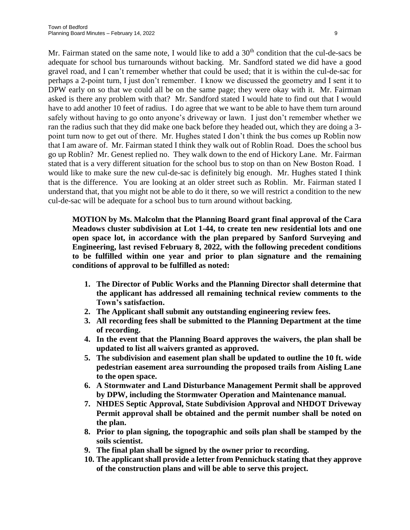Mr. Fairman stated on the same note, I would like to add a  $30<sup>th</sup>$  condition that the cul-de-sacs be adequate for school bus turnarounds without backing. Mr. Sandford stated we did have a good gravel road, and I can't remember whether that could be used; that it is within the cul-de-sac for perhaps a 2-point turn, I just don't remember. I know we discussed the geometry and I sent it to DPW early on so that we could all be on the same page; they were okay with it. Mr. Fairman asked is there any problem with that? Mr. Sandford stated I would hate to find out that I would have to add another 10 feet of radius. I do agree that we want to be able to have them turn around safely without having to go onto anyone's driveway or lawn. I just don't remember whether we ran the radius such that they did make one back before they headed out, which they are doing a 3 point turn now to get out of there. Mr. Hughes stated I don't think the bus comes up Roblin now that I am aware of. Mr. Fairman stated I think they walk out of Roblin Road. Does the school bus go up Roblin? Mr. Genest replied no. They walk down to the end of Hickory Lane. Mr. Fairman stated that is a very different situation for the school bus to stop on than on New Boston Road. I would like to make sure the new cul-de-sac is definitely big enough. Mr. Hughes stated I think that is the difference. You are looking at an older street such as Roblin. Mr. Fairman stated I understand that, that you might not be able to do it there, so we will restrict a condition to the new cul-de-sac will be adequate for a school bus to turn around without backing.

**MOTION by Ms. Malcolm that the Planning Board grant final approval of the Cara Meadows cluster subdivision at Lot 1-44, to create ten new residential lots and one open space lot, in accordance with the plan prepared by Sanford Surveying and Engineering, last revised February 8, 2022, with the following precedent conditions to be fulfilled within one year and prior to plan signature and the remaining conditions of approval to be fulfilled as noted:**

- **1. The Director of Public Works and the Planning Director shall determine that the applicant has addressed all remaining technical review comments to the Town's satisfaction.**
- **2. The Applicant shall submit any outstanding engineering review fees.**
- **3. All recording fees shall be submitted to the Planning Department at the time of recording.**
- **4. In the event that the Planning Board approves the waivers, the plan shall be updated to list all waivers granted as approved.**
- **5. The subdivision and easement plan shall be updated to outline the 10 ft. wide pedestrian easement area surrounding the proposed trails from Aisling Lane to the open space.**
- **6. A Stormwater and Land Disturbance Management Permit shall be approved by DPW, including the Stormwater Operation and Maintenance manual.**
- **7. NHDES Septic Approval, State Subdivision Approval and NHDOT Driveway Permit approval shall be obtained and the permit number shall be noted on the plan.**
- **8. Prior to plan signing, the topographic and soils plan shall be stamped by the soils scientist.**
- **9. The final plan shall be signed by the owner prior to recording.**
- **10. The applicant shall provide a letter from Pennichuck stating that they approve of the construction plans and will be able to serve this project.**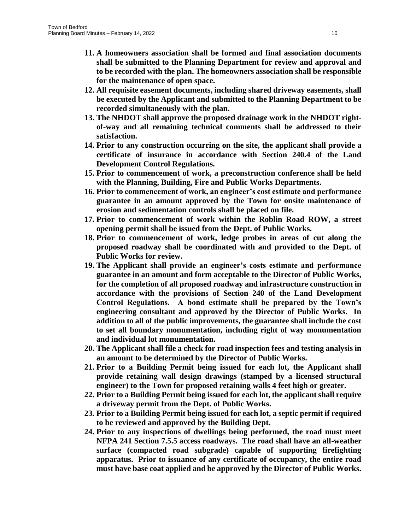- **11. A homeowners association shall be formed and final association documents shall be submitted to the Planning Department for review and approval and to be recorded with the plan. The homeowners association shall be responsible for the maintenance of open space.**
- **12. All requisite easement documents, including shared driveway easements, shall be executed by the Applicant and submitted to the Planning Department to be recorded simultaneously with the plan.**
- **13. The NHDOT shall approve the proposed drainage work in the NHDOT rightof-way and all remaining technical comments shall be addressed to their satisfaction.**
- **14. Prior to any construction occurring on the site, the applicant shall provide a certificate of insurance in accordance with Section 240.4 of the Land Development Control Regulations.**
- **15. Prior to commencement of work, a preconstruction conference shall be held with the Planning, Building, Fire and Public Works Departments.**
- **16. Prior to commencement of work, an engineer's cost estimate and performance guarantee in an amount approved by the Town for onsite maintenance of erosion and sedimentation controls shall be placed on file.**
- **17. Prior to commencement of work within the Roblin Road ROW, a street opening permit shall be issued from the Dept. of Public Works.**
- **18. Prior to commencement of work, ledge probes in areas of cut along the proposed roadway shall be coordinated with and provided to the Dept. of Public Works for review.**
- **19. The Applicant shall provide an engineer's costs estimate and performance guarantee in an amount and form acceptable to the Director of Public Works, for the completion of all proposed roadway and infrastructure construction in accordance with the provisions of Section 240 of the Land Development Control Regulations. A bond estimate shall be prepared by the Town's engineering consultant and approved by the Director of Public Works. In addition to all of the public improvements, the guarantee shall include the cost to set all boundary monumentation, including right of way monumentation and individual lot monumentation.**
- **20. The Applicant shall file a check for road inspection fees and testing analysis in an amount to be determined by the Director of Public Works.**
- **21. Prior to a Building Permit being issued for each lot, the Applicant shall provide retaining wall design drawings (stamped by a licensed structural engineer) to the Town for proposed retaining walls 4 feet high or greater.**
- **22. Prior to a Building Permit being issued for each lot, the applicant shall require a driveway permit from the Dept. of Public Works.**
- **23. Prior to a Building Permit being issued for each lot, a septic permit if required to be reviewed and approved by the Building Dept.**
- **24. Prior to any inspections of dwellings being performed, the road must meet NFPA 241 Section 7.5.5 access roadways. The road shall have an all-weather surface (compacted road subgrade) capable of supporting firefighting apparatus. Prior to issuance of any certificate of occupancy, the entire road must have base coat applied and be approved by the Director of Public Works.**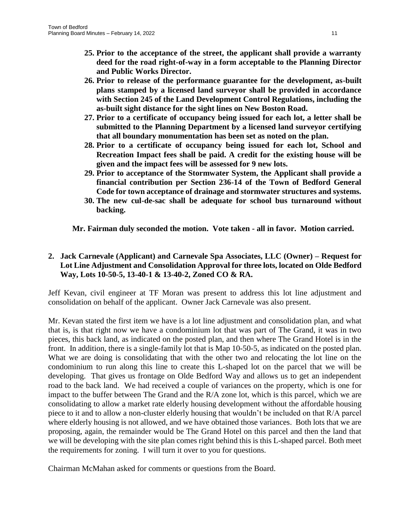- **25. Prior to the acceptance of the street, the applicant shall provide a warranty deed for the road right-of-way in a form acceptable to the Planning Director and Public Works Director.**
- **26. Prior to release of the performance guarantee for the development, as-built plans stamped by a licensed land surveyor shall be provided in accordance with Section 245 of the Land Development Control Regulations, including the as-built sight distance for the sight lines on New Boston Road.**
- **27. Prior to a certificate of occupancy being issued for each lot, a letter shall be submitted to the Planning Department by a licensed land surveyor certifying that all boundary monumentation has been set as noted on the plan.**
- **28. Prior to a certificate of occupancy being issued for each lot, School and Recreation Impact fees shall be paid. A credit for the existing house will be given and the impact fees will be assessed for 9 new lots.**
- **29. Prior to acceptance of the Stormwater System, the Applicant shall provide a financial contribution per Section 236-14 of the Town of Bedford General Code for town acceptance of drainage and stormwater structures and systems.**
- **30. The new cul-de-sac shall be adequate for school bus turnaround without backing.**

**Mr. Fairman duly seconded the motion. Vote taken - all in favor. Motion carried.**

# **2. Jack Carnevale (Applicant) and Carnevale Spa Associates, LLC (Owner) – Request for Lot Line Adjustment and Consolidation Approval for three lots, located on Olde Bedford Way, Lots 10-50-5, 13-40-1 & 13-40-2, Zoned CO & RA.**

Jeff Kevan, civil engineer at TF Moran was present to address this lot line adjustment and consolidation on behalf of the applicant. Owner Jack Carnevale was also present.

Mr. Kevan stated the first item we have is a lot line adjustment and consolidation plan, and what that is, is that right now we have a condominium lot that was part of The Grand, it was in two pieces, this back land, as indicated on the posted plan, and then where The Grand Hotel is in the front. In addition, there is a single-family lot that is Map 10-50-5, as indicated on the posted plan. What we are doing is consolidating that with the other two and relocating the lot line on the condominium to run along this line to create this L-shaped lot on the parcel that we will be developing. That gives us frontage on Olde Bedford Way and allows us to get an independent road to the back land. We had received a couple of variances on the property, which is one for impact to the buffer between The Grand and the R/A zone lot, which is this parcel, which we are consolidating to allow a market rate elderly housing development without the affordable housing piece to it and to allow a non-cluster elderly housing that wouldn't be included on that R/A parcel where elderly housing is not allowed, and we have obtained those variances. Both lots that we are proposing, again, the remainder would be The Grand Hotel on this parcel and then the land that we will be developing with the site plan comes right behind this is this L-shaped parcel. Both meet the requirements for zoning. I will turn it over to you for questions.

Chairman McMahan asked for comments or questions from the Board.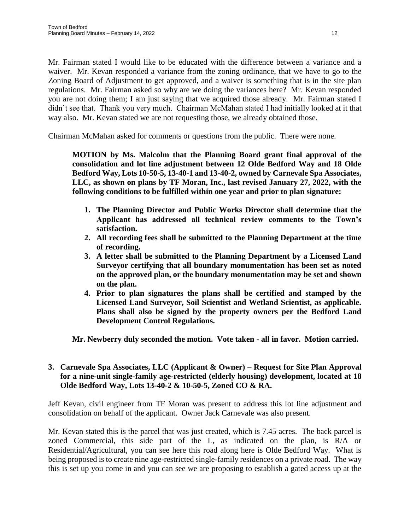Mr. Fairman stated I would like to be educated with the difference between a variance and a waiver. Mr. Kevan responded a variance from the zoning ordinance, that we have to go to the Zoning Board of Adjustment to get approved, and a waiver is something that is in the site plan regulations. Mr. Fairman asked so why are we doing the variances here? Mr. Kevan responded you are not doing them; I am just saying that we acquired those already. Mr. Fairman stated I didn't see that. Thank you very much. Chairman McMahan stated I had initially looked at it that way also. Mr. Kevan stated we are not requesting those, we already obtained those.

Chairman McMahan asked for comments or questions from the public. There were none.

**MOTION by Ms. Malcolm that the Planning Board grant final approval of the consolidation and lot line adjustment between 12 Olde Bedford Way and 18 Olde Bedford Way, Lots 10-50-5, 13-40-1 and 13-40-2, owned by Carnevale Spa Associates, LLC, as shown on plans by TF Moran, Inc., last revised January 27, 2022, with the following conditions to be fulfilled within one year and prior to plan signature:**

- **1. The Planning Director and Public Works Director shall determine that the Applicant has addressed all technical review comments to the Town's satisfaction.**
- **2. All recording fees shall be submitted to the Planning Department at the time of recording.**
- **3. A letter shall be submitted to the Planning Department by a Licensed Land Surveyor certifying that all boundary monumentation has been set as noted on the approved plan, or the boundary monumentation may be set and shown on the plan.**
- **4. Prior to plan signatures the plans shall be certified and stamped by the Licensed Land Surveyor, Soil Scientist and Wetland Scientist, as applicable. Plans shall also be signed by the property owners per the Bedford Land Development Control Regulations.**

**Mr. Newberry duly seconded the motion. Vote taken - all in favor. Motion carried.**

## **3. Carnevale Spa Associates, LLC (Applicant & Owner) – Request for Site Plan Approval for a nine-unit single-family age-restricted (elderly housing) development, located at 18 Olde Bedford Way, Lots 13-40-2 & 10-50-5, Zoned CO & RA.**

Jeff Kevan, civil engineer from TF Moran was present to address this lot line adjustment and consolidation on behalf of the applicant. Owner Jack Carnevale was also present.

Mr. Kevan stated this is the parcel that was just created, which is 7.45 acres. The back parcel is zoned Commercial, this side part of the L, as indicated on the plan, is R/A or Residential/Agricultural, you can see here this road along here is Olde Bedford Way. What is being proposed is to create nine age-restricted single-family residences on a private road. The way this is set up you come in and you can see we are proposing to establish a gated access up at the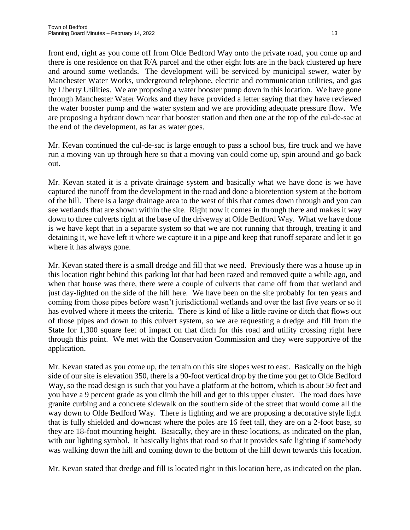front end, right as you come off from Olde Bedford Way onto the private road, you come up and there is one residence on that R/A parcel and the other eight lots are in the back clustered up here and around some wetlands. The development will be serviced by municipal sewer, water by Manchester Water Works, underground telephone, electric and communication utilities, and gas by Liberty Utilities. We are proposing a water booster pump down in this location. We have gone through Manchester Water Works and they have provided a letter saying that they have reviewed the water booster pump and the water system and we are providing adequate pressure flow. We are proposing a hydrant down near that booster station and then one at the top of the cul-de-sac at the end of the development, as far as water goes.

Mr. Kevan continued the cul-de-sac is large enough to pass a school bus, fire truck and we have run a moving van up through here so that a moving van could come up, spin around and go back out.

Mr. Kevan stated it is a private drainage system and basically what we have done is we have captured the runoff from the development in the road and done a bioretention system at the bottom of the hill. There is a large drainage area to the west of this that comes down through and you can see wetlands that are shown within the site. Right now it comes in through there and makes it way down to three culverts right at the base of the driveway at Olde Bedford Way. What we have done is we have kept that in a separate system so that we are not running that through, treating it and detaining it, we have left it where we capture it in a pipe and keep that runoff separate and let it go where it has always gone.

Mr. Kevan stated there is a small dredge and fill that we need. Previously there was a house up in this location right behind this parking lot that had been razed and removed quite a while ago, and when that house was there, there were a couple of culverts that came off from that wetland and just day-lighted on the side of the hill here. We have been on the site probably for ten years and coming from those pipes before wasn't jurisdictional wetlands and over the last five years or so it has evolved where it meets the criteria. There is kind of like a little ravine or ditch that flows out of those pipes and down to this culvert system, so we are requesting a dredge and fill from the State for 1,300 square feet of impact on that ditch for this road and utility crossing right here through this point. We met with the Conservation Commission and they were supportive of the application.

Mr. Kevan stated as you come up, the terrain on this site slopes west to east. Basically on the high side of our site is elevation 350, there is a 90-foot vertical drop by the time you get to Olde Bedford Way, so the road design is such that you have a platform at the bottom, which is about 50 feet and you have a 9 percent grade as you climb the hill and get to this upper cluster. The road does have granite curbing and a concrete sidewalk on the southern side of the street that would come all the way down to Olde Bedford Way. There is lighting and we are proposing a decorative style light that is fully shielded and downcast where the poles are 16 feet tall, they are on a 2-foot base, so they are 18-foot mounting height. Basically, they are in these locations, as indicated on the plan, with our lighting symbol. It basically lights that road so that it provides safe lighting if somebody was walking down the hill and coming down to the bottom of the hill down towards this location.

Mr. Kevan stated that dredge and fill is located right in this location here, as indicated on the plan.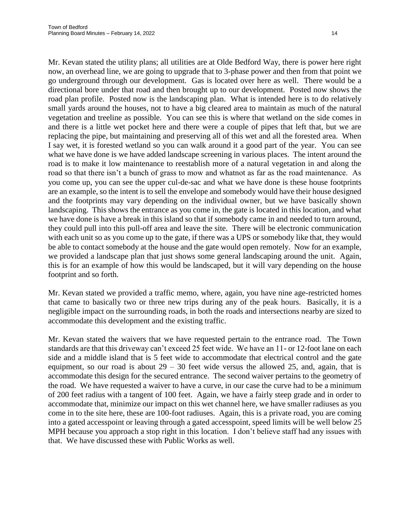Mr. Kevan stated the utility plans; all utilities are at Olde Bedford Way, there is power here right now, an overhead line, we are going to upgrade that to 3-phase power and then from that point we go underground through our development. Gas is located over here as well. There would be a directional bore under that road and then brought up to our development. Posted now shows the road plan profile. Posted now is the landscaping plan. What is intended here is to do relatively small yards around the houses, not to have a big cleared area to maintain as much of the natural vegetation and treeline as possible. You can see this is where that wetland on the side comes in and there is a little wet pocket here and there were a couple of pipes that left that, but we are replacing the pipe, but maintaining and preserving all of this wet and all the forested area. When I say wet, it is forested wetland so you can walk around it a good part of the year. You can see what we have done is we have added landscape screening in various places. The intent around the road is to make it low maintenance to reestablish more of a natural vegetation in and along the road so that there isn't a bunch of grass to mow and whatnot as far as the road maintenance. As you come up, you can see the upper cul-de-sac and what we have done is these house footprints are an example, so the intent is to sell the envelope and somebody would have their house designed and the footprints may vary depending on the individual owner, but we have basically shown landscaping. This shows the entrance as you come in, the gate is located in this location, and what we have done is have a break in this island so that if somebody came in and needed to turn around, they could pull into this pull-off area and leave the site. There will be electronic communication with each unit so as you come up to the gate, if there was a UPS or somebody like that, they would be able to contact somebody at the house and the gate would open remotely. Now for an example, we provided a landscape plan that just shows some general landscaping around the unit. Again, this is for an example of how this would be landscaped, but it will vary depending on the house footprint and so forth.

Mr. Kevan stated we provided a traffic memo, where, again, you have nine age-restricted homes that came to basically two or three new trips during any of the peak hours. Basically, it is a negligible impact on the surrounding roads, in both the roads and intersections nearby are sized to accommodate this development and the existing traffic.

Mr. Kevan stated the waivers that we have requested pertain to the entrance road. The Town standards are that this driveway can't exceed 25 feet wide. We have an 11- or 12-foot lane on each side and a middle island that is 5 feet wide to accommodate that electrical control and the gate equipment, so our road is about  $29 - 30$  feet wide versus the allowed 25, and, again, that is accommodate this design for the secured entrance. The second waiver pertains to the geometry of the road. We have requested a waiver to have a curve, in our case the curve had to be a minimum of 200 feet radius with a tangent of 100 feet. Again, we have a fairly steep grade and in order to accommodate that, minimize our impact on this wet channel here, we have smaller radiuses as you come in to the site here, these are 100-foot radiuses. Again, this is a private road, you are coming into a gated accesspoint or leaving through a gated accesspoint, speed limits will be well below 25 MPH because you approach a stop right in this location. I don't believe staff had any issues with that. We have discussed these with Public Works as well.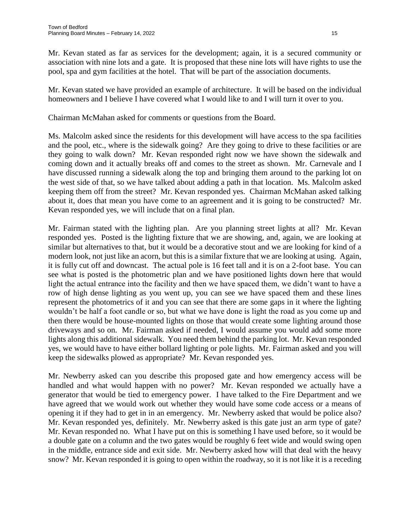Mr. Kevan stated as far as services for the development; again, it is a secured community or association with nine lots and a gate. It is proposed that these nine lots will have rights to use the pool, spa and gym facilities at the hotel. That will be part of the association documents.

Mr. Kevan stated we have provided an example of architecture. It will be based on the individual homeowners and I believe I have covered what I would like to and I will turn it over to you.

Chairman McMahan asked for comments or questions from the Board.

Ms. Malcolm asked since the residents for this development will have access to the spa facilities and the pool, etc., where is the sidewalk going? Are they going to drive to these facilities or are they going to walk down? Mr. Kevan responded right now we have shown the sidewalk and coming down and it actually breaks off and comes to the street as shown. Mr. Carnevale and I have discussed running a sidewalk along the top and bringing them around to the parking lot on the west side of that, so we have talked about adding a path in that location. Ms. Malcolm asked keeping them off from the street? Mr. Kevan responded yes. Chairman McMahan asked talking about it, does that mean you have come to an agreement and it is going to be constructed? Mr. Kevan responded yes, we will include that on a final plan.

Mr. Fairman stated with the lighting plan. Are you planning street lights at all? Mr. Kevan responded yes. Posted is the lighting fixture that we are showing, and, again, we are looking at similar but alternatives to that, but it would be a decorative stout and we are looking for kind of a modern look, not just like an acorn, but this is a similar fixture that we are looking at using. Again, it is fully cut off and downcast. The actual pole is 16 feet tall and it is on a 2-foot base. You can see what is posted is the photometric plan and we have positioned lights down here that would light the actual entrance into the facility and then we have spaced them, we didn't want to have a row of high dense lighting as you went up, you can see we have spaced them and these lines represent the photometrics of it and you can see that there are some gaps in it where the lighting wouldn't be half a foot candle or so, but what we have done is light the road as you come up and then there would be house-mounted lights on those that would create some lighting around those driveways and so on. Mr. Fairman asked if needed, I would assume you would add some more lights along this additional sidewalk. You need them behind the parking lot. Mr. Kevan responded yes, we would have to have either bollard lighting or pole lights. Mr. Fairman asked and you will keep the sidewalks plowed as appropriate? Mr. Kevan responded yes.

Mr. Newberry asked can you describe this proposed gate and how emergency access will be handled and what would happen with no power? Mr. Kevan responded we actually have a generator that would be tied to emergency power. I have talked to the Fire Department and we have agreed that we would work out whether they would have some code access or a means of opening it if they had to get in in an emergency. Mr. Newberry asked that would be police also? Mr. Kevan responded yes, definitely. Mr. Newberry asked is this gate just an arm type of gate? Mr. Kevan responded no. What I have put on this is something I have used before, so it would be a double gate on a column and the two gates would be roughly 6 feet wide and would swing open in the middle, entrance side and exit side. Mr. Newberry asked how will that deal with the heavy snow? Mr. Kevan responded it is going to open within the roadway, so it is not like it is a receding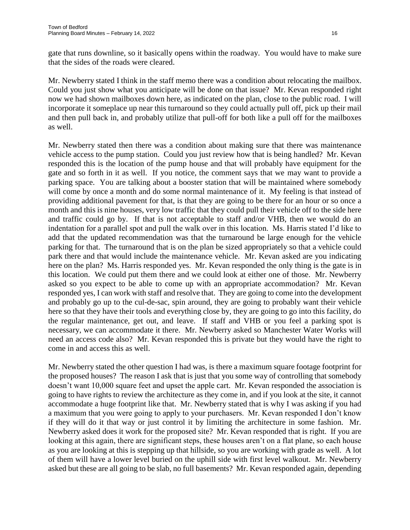gate that runs downline, so it basically opens within the roadway. You would have to make sure that the sides of the roads were cleared.

Mr. Newberry stated I think in the staff memo there was a condition about relocating the mailbox. Could you just show what you anticipate will be done on that issue? Mr. Kevan responded right now we had shown mailboxes down here, as indicated on the plan, close to the public road. I will incorporate it someplace up near this turnaround so they could actually pull off, pick up their mail and then pull back in, and probably utilize that pull-off for both like a pull off for the mailboxes as well.

Mr. Newberry stated then there was a condition about making sure that there was maintenance vehicle access to the pump station. Could you just review how that is being handled? Mr. Kevan responded this is the location of the pump house and that will probably have equipment for the gate and so forth in it as well. If you notice, the comment says that we may want to provide a parking space. You are talking about a booster station that will be maintained where somebody will come by once a month and do some normal maintenance of it. My feeling is that instead of providing additional pavement for that, is that they are going to be there for an hour or so once a month and this is nine houses, very low traffic that they could pull their vehicle off to the side here and traffic could go by. If that is not acceptable to staff and/or VHB, then we would do an indentation for a parallel spot and pull the walk over in this location. Ms. Harris stated I'd like to add that the updated recommendation was that the turnaround be large enough for the vehicle parking for that. The turnaround that is on the plan be sized appropriately so that a vehicle could park there and that would include the maintenance vehicle. Mr. Kevan asked are you indicating here on the plan? Ms. Harris responded yes. Mr. Kevan responded the only thing is the gate is in this location. We could put them there and we could look at either one of those. Mr. Newberry asked so you expect to be able to come up with an appropriate accommodation? Mr. Kevan responded yes, I can work with staff and resolve that. They are going to come into the development and probably go up to the cul-de-sac, spin around, they are going to probably want their vehicle here so that they have their tools and everything close by, they are going to go into this facility, do the regular maintenance, get out, and leave. If staff and VHB or you feel a parking spot is necessary, we can accommodate it there. Mr. Newberry asked so Manchester Water Works will need an access code also? Mr. Kevan responded this is private but they would have the right to come in and access this as well.

Mr. Newberry stated the other question I had was, is there a maximum square footage footprint for the proposed houses? The reason I ask that is just that you some way of controlling that somebody doesn't want 10,000 square feet and upset the apple cart. Mr. Kevan responded the association is going to have rights to review the architecture as they come in, and if you look at the site, it cannot accommodate a huge footprint like that. Mr. Newberry stated that is why I was asking if you had a maximum that you were going to apply to your purchasers. Mr. Kevan responded I don't know if they will do it that way or just control it by limiting the architecture in some fashion. Mr. Newberry asked does it work for the proposed site? Mr. Kevan responded that is right. If you are looking at this again, there are significant steps, these houses aren't on a flat plane, so each house as you are looking at this is stepping up that hillside, so you are working with grade as well. A lot of them will have a lower level buried on the uphill side with first level walkout. Mr. Newberry asked but these are all going to be slab, no full basements? Mr. Kevan responded again, depending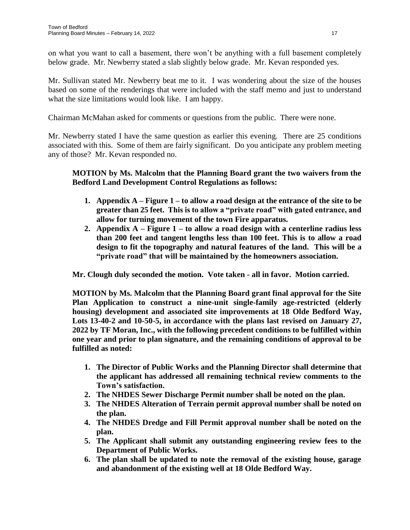on what you want to call a basement, there won't be anything with a full basement completely below grade. Mr. Newberry stated a slab slightly below grade. Mr. Kevan responded yes.

Mr. Sullivan stated Mr. Newberry beat me to it. I was wondering about the size of the houses based on some of the renderings that were included with the staff memo and just to understand what the size limitations would look like. I am happy.

Chairman McMahan asked for comments or questions from the public. There were none.

Mr. Newberry stated I have the same question as earlier this evening. There are 25 conditions associated with this. Some of them are fairly significant. Do you anticipate any problem meeting any of those? Mr. Kevan responded no.

# **MOTION by Ms. Malcolm that the Planning Board grant the two waivers from the Bedford Land Development Control Regulations as follows:**

- **1. Appendix A – Figure 1 – to allow a road design at the entrance of the site to be greater than 25 feet. This is to allow a "private road" with gated entrance, and allow for turning movement of the town Fire apparatus.**
- **2. Appendix A – Figure 1 – to allow a road design with a centerline radius less than 200 feet and tangent lengths less than 100 feet. This is to allow a road design to fit the topography and natural features of the land. This will be a "private road" that will be maintained by the homeowners association.**

**Mr. Clough duly seconded the motion. Vote taken - all in favor. Motion carried.**

**MOTION by Ms. Malcolm that the Planning Board grant final approval for the Site Plan Application to construct a nine-unit single-family age-restricted (elderly housing) development and associated site improvements at 18 Olde Bedford Way, Lots 13-40-2 and 10-50-5, in accordance with the plans last revised on January 27, 2022 by TF Moran, Inc., with the following precedent conditions to be fulfilled within one year and prior to plan signature, and the remaining conditions of approval to be fulfilled as noted:**

- **1. The Director of Public Works and the Planning Director shall determine that the applicant has addressed all remaining technical review comments to the Town's satisfaction.**
- **2. The NHDES Sewer Discharge Permit number shall be noted on the plan.**
- **3. The NHDES Alteration of Terrain permit approval number shall be noted on the plan.**
- **4. The NHDES Dredge and Fill Permit approval number shall be noted on the plan.**
- **5. The Applicant shall submit any outstanding engineering review fees to the Department of Public Works.**
- **6. The plan shall be updated to note the removal of the existing house, garage and abandonment of the existing well at 18 Olde Bedford Way.**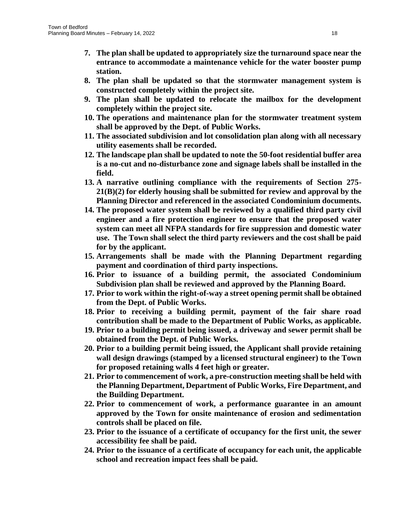- **7. The plan shall be updated to appropriately size the turnaround space near the entrance to accommodate a maintenance vehicle for the water booster pump station.**
- **8. The plan shall be updated so that the stormwater management system is constructed completely within the project site.**
- **9. The plan shall be updated to relocate the mailbox for the development completely within the project site.**
- **10. The operations and maintenance plan for the stormwater treatment system shall be approved by the Dept. of Public Works.**
- **11. The associated subdivision and lot consolidation plan along with all necessary utility easements shall be recorded.**
- **12. The landscape plan shall be updated to note the 50-foot residential buffer area is a no-cut and no-disturbance zone and signage labels shall be installed in the field.**
- **13. A narrative outlining compliance with the requirements of Section 275- 21(B)(2) for elderly housing shall be submitted for review and approval by the Planning Director and referenced in the associated Condominium documents.**
- **14. The proposed water system shall be reviewed by a qualified third party civil engineer and a fire protection engineer to ensure that the proposed water system can meet all NFPA standards for fire suppression and domestic water use. The Town shall select the third party reviewers and the cost shall be paid for by the applicant.**
- **15. Arrangements shall be made with the Planning Department regarding payment and coordination of third party inspections.**
- **16. Prior to issuance of a building permit, the associated Condominium Subdivision plan shall be reviewed and approved by the Planning Board.**
- **17. Prior to work within the right-of-way a street opening permit shall be obtained from the Dept. of Public Works.**
- **18. Prior to receiving a building permit, payment of the fair share road contribution shall be made to the Department of Public Works, as applicable.**
- **19. Prior to a building permit being issued, a driveway and sewer permit shall be obtained from the Dept. of Public Works.**
- **20. Prior to a building permit being issued, the Applicant shall provide retaining wall design drawings (stamped by a licensed structural engineer) to the Town for proposed retaining walls 4 feet high or greater.**
- **21. Prior to commencement of work, a pre-construction meeting shall be held with the Planning Department, Department of Public Works, Fire Department, and the Building Department.**
- **22. Prior to commencement of work, a performance guarantee in an amount approved by the Town for onsite maintenance of erosion and sedimentation controls shall be placed on file.**
- **23. Prior to the issuance of a certificate of occupancy for the first unit, the sewer accessibility fee shall be paid.**
- **24. Prior to the issuance of a certificate of occupancy for each unit, the applicable school and recreation impact fees shall be paid.**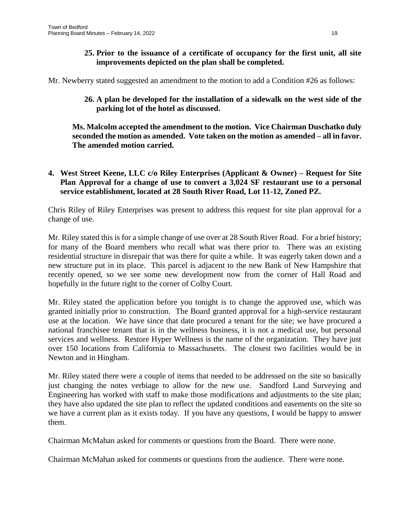**25. Prior to the issuance of a certificate of occupancy for the first unit, all site improvements depicted on the plan shall be completed.**

Mr. Newberry stated suggested an amendment to the motion to add a Condition #26 as follows:

**26. A plan be developed for the installation of a sidewalk on the west side of the parking lot of the hotel as discussed.**

**Ms. Malcolm accepted the amendment to the motion. Vice Chairman Duschatko duly seconded the motion as amended. Vote taken on the motion as amended – all in favor. The amended motion carried.**

**4. West Street Keene, LLC c/o Riley Enterprises (Applicant & Owner) – Request for Site Plan Approval for a change of use to convert a 3,024 SF restaurant use to a personal service establishment, located at 28 South River Road, Lot 11-12, Zoned PZ.** 

Chris Riley of Riley Enterprises was present to address this request for site plan approval for a change of use.

Mr. Riley stated this is for a simple change of use over at 28 South River Road. For a brief history; for many of the Board members who recall what was there prior to. There was an existing residential structure in disrepair that was there for quite a while. It was eagerly taken down and a new structure put in its place. This parcel is adjacent to the new Bank of New Hampshire that recently opened, so we see some new development now from the corner of Hall Road and hopefully in the future right to the corner of Colby Court.

Mr. Riley stated the application before you tonight is to change the approved use, which was granted initially prior to construction. The Board granted approval for a high-service restaurant use at the location. We have since that date procured a tenant for the site; we have procured a national franchisee tenant that is in the wellness business, it is not a medical use, but personal services and wellness. Restore Hyper Wellness is the name of the organization. They have just over 150 locations from California to Massachusetts. The closest two facilities would be in Newton and in Hingham.

Mr. Riley stated there were a couple of items that needed to be addressed on the site so basically just changing the notes verbiage to allow for the new use. Sandford Land Surveying and Engineering has worked with staff to make those modifications and adjustments to the site plan; they have also updated the site plan to reflect the updated conditions and easements on the site so we have a current plan as it exists today. If you have any questions, I would be happy to answer them.

Chairman McMahan asked for comments or questions from the Board. There were none.

Chairman McMahan asked for comments or questions from the audience. There were none.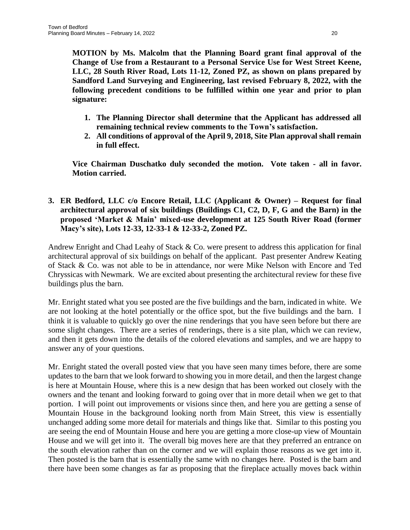**MOTION by Ms. Malcolm that the Planning Board grant final approval of the Change of Use from a Restaurant to a Personal Service Use for West Street Keene, LLC, 28 South River Road, Lots 11-12, Zoned PZ, as shown on plans prepared by Sandford Land Surveying and Engineering, last revised February 8, 2022, with the following precedent conditions to be fulfilled within one year and prior to plan signature:**

- **1. The Planning Director shall determine that the Applicant has addressed all remaining technical review comments to the Town's satisfaction.**
- **2. All conditions of approval of the April 9, 2018, Site Plan approval shall remain in full effect.**

**Vice Chairman Duschatko duly seconded the motion. Vote taken - all in favor. Motion carried.**

**3. ER Bedford, LLC c/o Encore Retail, LLC (Applicant & Owner) – Request for final architectural approval of six buildings (Buildings C1, C2, D, F, G and the Barn) in the proposed 'Market & Main' mixed-use development at 125 South River Road (former Macy's site), Lots 12-33, 12-33-1 & 12-33-2, Zoned PZ.**

Andrew Enright and Chad Leahy of Stack & Co. were present to address this application for final architectural approval of six buildings on behalf of the applicant. Past presenter Andrew Keating of Stack & Co. was not able to be in attendance, nor were Mike Nelson with Encore and Ted Chryssicas with Newmark. We are excited about presenting the architectural review for these five buildings plus the barn.

Mr. Enright stated what you see posted are the five buildings and the barn, indicated in white. We are not looking at the hotel potentially or the office spot, but the five buildings and the barn. I think it is valuable to quickly go over the nine renderings that you have seen before but there are some slight changes. There are a series of renderings, there is a site plan, which we can review, and then it gets down into the details of the colored elevations and samples, and we are happy to answer any of your questions.

Mr. Enright stated the overall posted view that you have seen many times before, there are some updates to the barn that we look forward to showing you in more detail, and then the largest change is here at Mountain House, where this is a new design that has been worked out closely with the owners and the tenant and looking forward to going over that in more detail when we get to that portion. I will point out improvements or visions since then, and here you are getting a sense of Mountain House in the background looking north from Main Street, this view is essentially unchanged adding some more detail for materials and things like that. Similar to this posting you are seeing the end of Mountain House and here you are getting a more close-up view of Mountain House and we will get into it. The overall big moves here are that they preferred an entrance on the south elevation rather than on the corner and we will explain those reasons as we get into it. Then posted is the barn that is essentially the same with no changes here. Posted is the barn and there have been some changes as far as proposing that the fireplace actually moves back within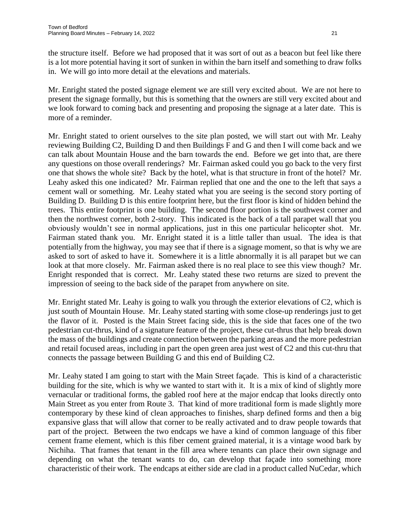the structure itself. Before we had proposed that it was sort of out as a beacon but feel like there is a lot more potential having it sort of sunken in within the barn itself and something to draw folks in. We will go into more detail at the elevations and materials.

Mr. Enright stated the posted signage element we are still very excited about. We are not here to present the signage formally, but this is something that the owners are still very excited about and we look forward to coming back and presenting and proposing the signage at a later date. This is more of a reminder.

Mr. Enright stated to orient ourselves to the site plan posted, we will start out with Mr. Leahy reviewing Building C2, Building D and then Buildings F and G and then I will come back and we can talk about Mountain House and the barn towards the end. Before we get into that, are there any questions on those overall renderings? Mr. Fairman asked could you go back to the very first one that shows the whole site? Back by the hotel, what is that structure in front of the hotel? Mr. Leahy asked this one indicated? Mr. Fairman replied that one and the one to the left that says a cement wall or something. Mr. Leahy stated what you are seeing is the second story porting of Building D. Building D is this entire footprint here, but the first floor is kind of hidden behind the trees. This entire footprint is one building. The second floor portion is the southwest corner and then the northwest corner, both 2-story. This indicated is the back of a tall parapet wall that you obviously wouldn't see in normal applications, just in this one particular helicopter shot. Mr. Fairman stated thank you. Mr. Enright stated it is a little taller than usual. The idea is that potentially from the highway, you may see that if there is a signage moment, so that is why we are asked to sort of asked to have it. Somewhere it is a little abnormally it is all parapet but we can look at that more closely. Mr. Fairman asked there is no real place to see this view though? Mr. Enright responded that is correct. Mr. Leahy stated these two returns are sized to prevent the impression of seeing to the back side of the parapet from anywhere on site.

Mr. Enright stated Mr. Leahy is going to walk you through the exterior elevations of C2, which is just south of Mountain House. Mr. Leahy stated starting with some close-up renderings just to get the flavor of it. Posted is the Main Street facing side, this is the side that faces one of the two pedestrian cut-thrus, kind of a signature feature of the project, these cut-thrus that help break down the mass of the buildings and create connection between the parking areas and the more pedestrian and retail focused areas, including in part the open green area just west of C2 and this cut-thru that connects the passage between Building G and this end of Building C2.

Mr. Leahy stated I am going to start with the Main Street façade. This is kind of a characteristic building for the site, which is why we wanted to start with it. It is a mix of kind of slightly more vernacular or traditional forms, the gabled roof here at the major endcap that looks directly onto Main Street as you enter from Route 3. That kind of more traditional form is made slightly more contemporary by these kind of clean approaches to finishes, sharp defined forms and then a big expansive glass that will allow that corner to be really activated and to draw people towards that part of the project. Between the two endcaps we have a kind of common language of this fiber cement frame element, which is this fiber cement grained material, it is a vintage wood bark by Nichiha. That frames that tenant in the fill area where tenants can place their own signage and depending on what the tenant wants to do, can develop that façade into something more characteristic of their work. The endcaps at either side are clad in a product called NuCedar, which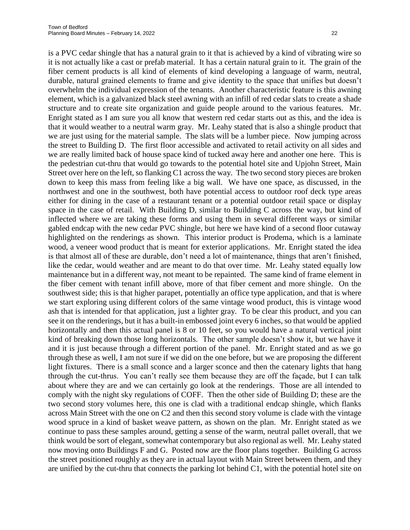is a PVC cedar shingle that has a natural grain to it that is achieved by a kind of vibrating wire so it is not actually like a cast or prefab material. It has a certain natural grain to it. The grain of the fiber cement products is all kind of elements of kind developing a language of warm, neutral, durable, natural grained elements to frame and give identity to the space that unifies but doesn't overwhelm the individual expression of the tenants. Another characteristic feature is this awning element, which is a galvanized black steel awning with an infill of red cedar slats to create a shade structure and to create site organization and guide people around to the various features. Mr. Enright stated as I am sure you all know that western red cedar starts out as this, and the idea is that it would weather to a neutral warm gray. Mr. Leahy stated that is also a shingle product that we are just using for the material sample. The slats will be a lumber piece. Now jumping across the street to Building D. The first floor accessible and activated to retail activity on all sides and we are really limited back of house space kind of tucked away here and another one here. This is the pedestrian cut-thru that would go towards to the potential hotel site and Upjohn Street, Main Street over here on the left, so flanking C1 across the way. The two second story pieces are broken down to keep this mass from feeling like a big wall. We have one space, as discussed, in the northwest and one in the southwest, both have potential access to outdoor roof deck type areas either for dining in the case of a restaurant tenant or a potential outdoor retail space or display space in the case of retail. With Building D, similar to Building C across the way, but kind of inflected where we are taking these forms and using them in several different ways or similar gabled endcap with the new cedar PVC shingle, but here we have kind of a second floor cutaway highlighted on the renderings as shown. This interior product is Prodema, which is a laminate wood, a veneer wood product that is meant for exterior applications. Mr. Enright stated the idea is that almost all of these are durable, don't need a lot of maintenance, things that aren't finished, like the cedar, would weather and are meant to do that over time. Mr. Leahy stated equally low maintenance but in a different way, not meant to be repainted. The same kind of frame element in the fiber cement with tenant infill above, more of that fiber cement and more shingle. On the southwest side; this is that higher parapet, potentially an office type application, and that is where we start exploring using different colors of the same vintage wood product, this is vintage wood ash that is intended for that application, just a lighter gray. To be clear this product, and you can see it on the renderings, but it has a built-in embossed joint every 6 inches, so that would be applied horizontally and then this actual panel is 8 or 10 feet, so you would have a natural vertical joint kind of breaking down those long horizontals. The other sample doesn't show it, but we have it and it is just because through a different portion of the panel. Mr. Enright stated and as we go through these as well, I am not sure if we did on the one before, but we are proposing the different light fixtures. There is a small sconce and a larger sconce and then the catenary lights that hang through the cut-thrus. You can't really see them because they are off the façade, but I can talk about where they are and we can certainly go look at the renderings. Those are all intended to comply with the night sky regulations of COFF. Then the other side of Building D; these are the two second story volumes here, this one is clad with a traditional endcap shingle, which flanks across Main Street with the one on C2 and then this second story volume is clade with the vintage wood spruce in a kind of basket weave pattern, as shown on the plan. Mr. Enright stated as we continue to pass these samples around, getting a sense of the warm, neutral pallet overall, that we think would be sort of elegant, somewhat contemporary but also regional as well. Mr. Leahy stated now moving onto Buildings F and G. Posted now are the floor plans together. Building G across the street positioned roughly as they are in actual layout with Main Street between them, and they are unified by the cut-thru that connects the parking lot behind C1, with the potential hotel site on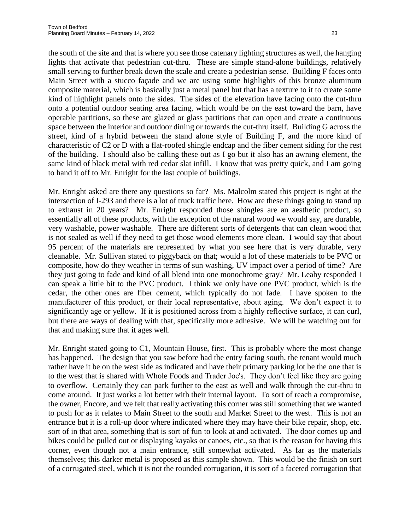the south of the site and that is where you see those catenary lighting structures as well, the hanging lights that activate that pedestrian cut-thru. These are simple stand-alone buildings, relatively small serving to further break down the scale and create a pedestrian sense. Building F faces onto Main Street with a stucco façade and we are using some highlights of this bronze aluminum composite material, which is basically just a metal panel but that has a texture to it to create some kind of highlight panels onto the sides. The sides of the elevation have facing onto the cut-thru onto a potential outdoor seating area facing, which would be on the east toward the barn, have operable partitions, so these are glazed or glass partitions that can open and create a continuous space between the interior and outdoor dining or towards the cut-thru itself. Building G across the street, kind of a hybrid between the stand alone style of Building F, and the more kind of characteristic of C2 or D with a flat-roofed shingle endcap and the fiber cement siding for the rest of the building. I should also be calling these out as I go but it also has an awning element, the same kind of black metal with red cedar slat infill. I know that was pretty quick, and I am going to hand it off to Mr. Enright for the last couple of buildings.

Mr. Enright asked are there any questions so far? Ms. Malcolm stated this project is right at the intersection of I-293 and there is a lot of truck traffic here. How are these things going to stand up to exhaust in 20 years? Mr. Enright responded those shingles are an aesthetic product, so essentially all of these products, with the exception of the natural wood we would say, are durable, very washable, power washable. There are different sorts of detergents that can clean wood that is not sealed as well if they need to get those wood elements more clean. I would say that about 95 percent of the materials are represented by what you see here that is very durable, very cleanable. Mr. Sullivan stated to piggyback on that; would a lot of these materials to be PVC or composite, how do they weather in terms of sun washing, UV impact over a period of time? Are they just going to fade and kind of all blend into one monochrome gray? Mr. Leahy responded I can speak a little bit to the PVC product. I think we only have one PVC product, which is the cedar, the other ones are fiber cement, which typically do not fade. I have spoken to the manufacturer of this product, or their local representative, about aging. We don't expect it to significantly age or yellow. If it is positioned across from a highly reflective surface, it can curl, but there are ways of dealing with that, specifically more adhesive. We will be watching out for that and making sure that it ages well.

Mr. Enright stated going to C1, Mountain House, first. This is probably where the most change has happened. The design that you saw before had the entry facing south, the tenant would much rather have it be on the west side as indicated and have their primary parking lot be the one that is to the west that is shared with Whole Foods and Trader Joe's. They don't feel like they are going to overflow. Certainly they can park further to the east as well and walk through the cut-thru to come around. It just works a lot better with their internal layout. To sort of reach a compromise, the owner, Encore, and we felt that really activating this corner was still something that we wanted to push for as it relates to Main Street to the south and Market Street to the west. This is not an entrance but it is a roll-up door where indicated where they may have their bike repair, shop, etc. sort of in that area, something that is sort of fun to look at and activated. The door comes up and bikes could be pulled out or displaying kayaks or canoes, etc., so that is the reason for having this corner, even though not a main entrance, still somewhat activated. As far as the materials themselves; this darker metal is proposed as this sample shown. This would be the finish on sort of a corrugated steel, which it is not the rounded corrugation, it is sort of a faceted corrugation that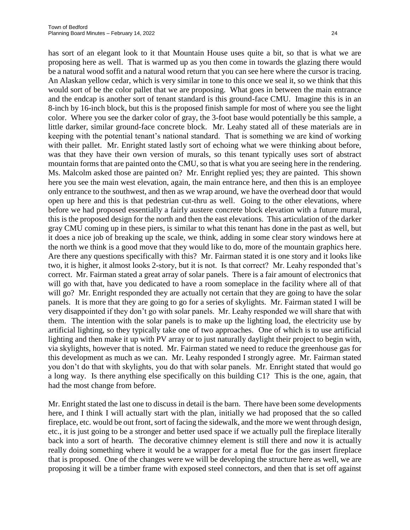has sort of an elegant look to it that Mountain House uses quite a bit, so that is what we are proposing here as well. That is warmed up as you then come in towards the glazing there would be a natural wood soffit and a natural wood return that you can see here where the cursor is tracing. An Alaskan yellow cedar, which is very similar in tone to this once we seal it, so we think that this would sort of be the color pallet that we are proposing. What goes in between the main entrance and the endcap is another sort of tenant standard is this ground-face CMU. Imagine this is in an 8-inch by 16-inch block, but this is the proposed finish sample for most of where you see the light color. Where you see the darker color of gray, the 3-foot base would potentially be this sample, a little darker, similar ground-face concrete block. Mr. Leahy stated all of these materials are in keeping with the potential tenant's national standard. That is something we are kind of working with their pallet. Mr. Enright stated lastly sort of echoing what we were thinking about before, was that they have their own version of murals, so this tenant typically uses sort of abstract mountain forms that are painted onto the CMU, so that is what you are seeing here in the rendering. Ms. Malcolm asked those are painted on? Mr. Enright replied yes; they are painted. This shown here you see the main west elevation, again, the main entrance here, and then this is an employee only entrance to the southwest, and then as we wrap around, we have the overhead door that would open up here and this is that pedestrian cut-thru as well. Going to the other elevations, where before we had proposed essentially a fairly austere concrete block elevation with a future mural, this is the proposed design for the north and then the east elevations. This articulation of the darker gray CMU coming up in these piers, is similar to what this tenant has done in the past as well, but it does a nice job of breaking up the scale, we think, adding in some clear story windows here at the north we think is a good move that they would like to do, more of the mountain graphics here. Are there any questions specifically with this? Mr. Fairman stated it is one story and it looks like two, it is higher, it almost looks 2-story, but it is not. Is that correct? Mr. Leahy responded that's correct. Mr. Fairman stated a great array of solar panels. There is a fair amount of electronics that will go with that, have you dedicated to have a room someplace in the facility where all of that will go? Mr. Enright responded they are actually not certain that they are going to have the solar panels. It is more that they are going to go for a series of skylights. Mr. Fairman stated I will be very disappointed if they don't go with solar panels. Mr. Leahy responded we will share that with them. The intention with the solar panels is to make up the lighting load, the electricity use by artificial lighting, so they typically take one of two approaches. One of which is to use artificial lighting and then make it up with PV array or to just naturally daylight their project to begin with, via skylights, however that is noted. Mr. Fairman stated we need to reduce the greenhouse gas for this development as much as we can. Mr. Leahy responded I strongly agree. Mr. Fairman stated you don't do that with skylights, you do that with solar panels. Mr. Enright stated that would go a long way. Is there anything else specifically on this building C1? This is the one, again, that had the most change from before.

Mr. Enright stated the last one to discuss in detail is the barn. There have been some developments here, and I think I will actually start with the plan, initially we had proposed that the so called fireplace, etc. would be out front, sort of facing the sidewalk, and the more we went through design, etc., it is just going to be a stronger and better used space if we actually pull the fireplace literally back into a sort of hearth. The decorative chimney element is still there and now it is actually really doing something where it would be a wrapper for a metal flue for the gas insert fireplace that is proposed. One of the changes were we will be developing the structure here as well, we are proposing it will be a timber frame with exposed steel connectors, and then that is set off against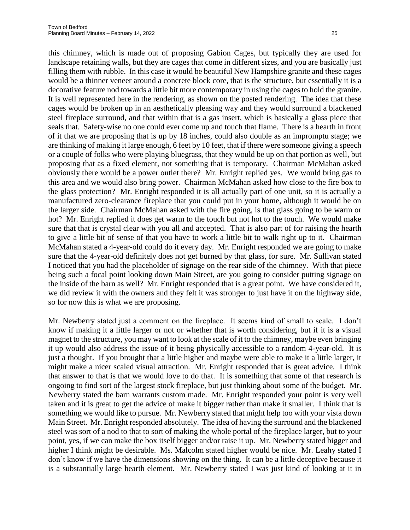this chimney, which is made out of proposing Gabion Cages, but typically they are used for landscape retaining walls, but they are cages that come in different sizes, and you are basically just filling them with rubble. In this case it would be beautiful New Hampshire granite and these cages would be a thinner veneer around a concrete block core, that is the structure, but essentially it is a decorative feature nod towards a little bit more contemporary in using the cages to hold the granite. It is well represented here in the rendering, as shown on the posted rendering. The idea that these cages would be broken up in an aesthetically pleasing way and they would surround a blackened steel fireplace surround, and that within that is a gas insert, which is basically a glass piece that seals that. Safety-wise no one could ever come up and touch that flame. There is a hearth in front of it that we are proposing that is up by 18 inches, could also double as an impromptu stage; we are thinking of making it large enough, 6 feet by 10 feet, that if there were someone giving a speech or a couple of folks who were playing bluegrass, that they would be up on that portion as well, but proposing that as a fixed element, not something that is temporary. Chairman McMahan asked obviously there would be a power outlet there? Mr. Enright replied yes. We would bring gas to this area and we would also bring power. Chairman McMahan asked how close to the fire box to the glass protection? Mr. Enright responded it is all actually part of one unit, so it is actually a manufactured zero-clearance fireplace that you could put in your home, although it would be on the larger side. Chairman McMahan asked with the fire going, is that glass going to be warm or hot? Mr. Enright replied it does get warm to the touch but not hot to the touch. We would make sure that that is crystal clear with you all and accepted. That is also part of for raising the hearth to give a little bit of sense of that you have to work a little bit to walk right up to it. Chairman McMahan stated a 4-year-old could do it every day. Mr. Enright responded we are going to make sure that the 4-year-old definitely does not get burned by that glass, for sure. Mr. Sullivan stated I noticed that you had the placeholder of signage on the rear side of the chimney. With that piece being such a focal point looking down Main Street, are you going to consider putting signage on the inside of the barn as well? Mr. Enright responded that is a great point. We have considered it, we did review it with the owners and they felt it was stronger to just have it on the highway side, so for now this is what we are proposing.

Mr. Newberry stated just a comment on the fireplace. It seems kind of small to scale. I don't know if making it a little larger or not or whether that is worth considering, but if it is a visual magnet to the structure, you may want to look at the scale of it to the chimney, maybe even bringing it up would also address the issue of it being physically accessible to a random 4-year-old. It is just a thought. If you brought that a little higher and maybe were able to make it a little larger, it might make a nicer scaled visual attraction. Mr. Enright responded that is great advice. I think that answer to that is that we would love to do that. It is something that some of that research is ongoing to find sort of the largest stock fireplace, but just thinking about some of the budget. Mr. Newberry stated the barn warrants custom made. Mr. Enright responded your point is very well taken and it is great to get the advice of make it bigger rather than make it smaller. I think that is something we would like to pursue. Mr. Newberry stated that might help too with your vista down Main Street. Mr. Enright responded absolutely. The idea of having the surround and the blackened steel was sort of a nod to that to sort of making the whole portal of the fireplace larger, but to your point, yes, if we can make the box itself bigger and/or raise it up. Mr. Newberry stated bigger and higher I think might be desirable. Ms. Malcolm stated higher would be nice. Mr. Leahy stated I don't know if we have the dimensions showing on the thing. It can be a little deceptive because it is a substantially large hearth element. Mr. Newberry stated I was just kind of looking at it in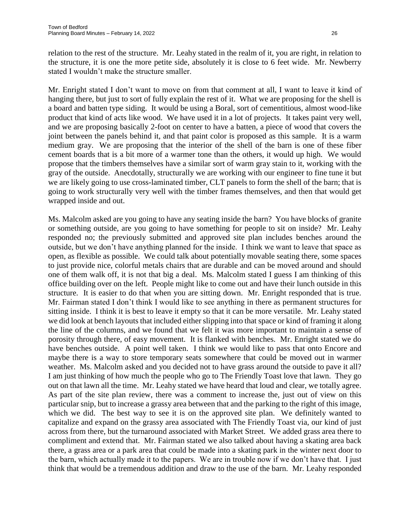relation to the rest of the structure. Mr. Leahy stated in the realm of it, you are right, in relation to the structure, it is one the more petite side, absolutely it is close to 6 feet wide. Mr. Newberry stated I wouldn't make the structure smaller.

Mr. Enright stated I don't want to move on from that comment at all, I want to leave it kind of hanging there, but just to sort of fully explain the rest of it. What we are proposing for the shell is a board and batten type siding. It would be using a Boral, sort of cementitious, almost wood-like product that kind of acts like wood. We have used it in a lot of projects. It takes paint very well, and we are proposing basically 2-foot on center to have a batten, a piece of wood that covers the joint between the panels behind it, and that paint color is proposed as this sample. It is a warm medium gray. We are proposing that the interior of the shell of the barn is one of these fiber cement boards that is a bit more of a warmer tone than the others, it would up high. We would propose that the timbers themselves have a similar sort of warm gray stain to it, working with the gray of the outside. Anecdotally, structurally we are working with our engineer to fine tune it but we are likely going to use cross-laminated timber, CLT panels to form the shell of the barn; that is going to work structurally very well with the timber frames themselves, and then that would get wrapped inside and out.

Ms. Malcolm asked are you going to have any seating inside the barn? You have blocks of granite or something outside, are you going to have something for people to sit on inside? Mr. Leahy responded no; the previously submitted and approved site plan includes benches around the outside, but we don't have anything planned for the inside. I think we want to leave that space as open, as flexible as possible. We could talk about potentially movable seating there, some spaces to just provide nice, colorful metals chairs that are durable and can be moved around and should one of them walk off, it is not that big a deal. Ms. Malcolm stated I guess I am thinking of this office building over on the left. People might like to come out and have their lunch outside in this structure. It is easier to do that when you are sitting down. Mr. Enright responded that is true. Mr. Fairman stated I don't think I would like to see anything in there as permanent structures for sitting inside. I think it is best to leave it empty so that it can be more versatile. Mr. Leahy stated we did look at bench layouts that included either slipping into that space or kind of framing it along the line of the columns, and we found that we felt it was more important to maintain a sense of porosity through there, of easy movement. It is flanked with benches. Mr. Enright stated we do have benches outside. A point well taken. I think we would like to pass that onto Encore and maybe there is a way to store temporary seats somewhere that could be moved out in warmer weather. Ms. Malcolm asked and you decided not to have grass around the outside to pave it all? I am just thinking of how much the people who go to The Friendly Toast love that lawn. They go out on that lawn all the time. Mr. Leahy stated we have heard that loud and clear, we totally agree. As part of the site plan review, there was a comment to increase the, just out of view on this particular snip, but to increase a grassy area between that and the parking to the right of this image, which we did. The best way to see it is on the approved site plan. We definitely wanted to capitalize and expand on the grassy area associated with The Friendly Toast via, our kind of just across from there, but the turnaround associated with Market Street. We added grass area there to compliment and extend that. Mr. Fairman stated we also talked about having a skating area back there, a grass area or a park area that could be made into a skating park in the winter next door to the barn, which actually made it to the papers. We are in trouble now if we don't have that. I just think that would be a tremendous addition and draw to the use of the barn. Mr. Leahy responded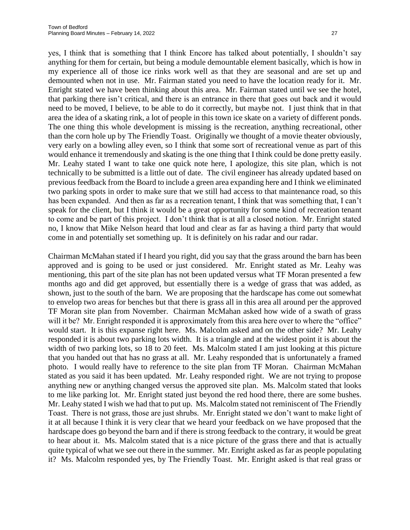yes, I think that is something that I think Encore has talked about potentially, I shouldn't say anything for them for certain, but being a module demountable element basically, which is how in my experience all of those ice rinks work well as that they are seasonal and are set up and demounted when not in use. Mr. Fairman stated you need to have the location ready for it. Mr. Enright stated we have been thinking about this area. Mr. Fairman stated until we see the hotel, that parking there isn't critical, and there is an entrance in there that goes out back and it would need to be moved, I believe, to be able to do it correctly, but maybe not. I just think that in that area the idea of a skating rink, a lot of people in this town ice skate on a variety of different ponds. The one thing this whole development is missing is the recreation, anything recreational, other than the corn hole up by The Friendly Toast. Originally we thought of a movie theater obviously, very early on a bowling alley even, so I think that some sort of recreational venue as part of this would enhance it tremendously and skating is the one thing that I think could be done pretty easily. Mr. Leahy stated I want to take one quick note here, I apologize, this site plan, which is not technically to be submitted is a little out of date. The civil engineer has already updated based on previous feedback from the Board to include a green area expanding here and I think we eliminated two parking spots in order to make sure that we still had access to that maintenance road, so this has been expanded. And then as far as a recreation tenant, I think that was something that, I can't speak for the client, but I think it would be a great opportunity for some kind of recreation tenant to come and be part of this project. I don't think that is at all a closed notion. Mr. Enright stated no, I know that Mike Nelson heard that loud and clear as far as having a third party that would come in and potentially set something up. It is definitely on his radar and our radar.

Chairman McMahan stated if I heard you right, did you say that the grass around the barn has been approved and is going to be used or just considered. Mr. Enright stated as Mr. Leahy was mentioning, this part of the site plan has not been updated versus what TF Moran presented a few months ago and did get approved, but essentially there is a wedge of grass that was added, as shown, just to the south of the barn. We are proposing that the hardscape has come out somewhat to envelop two areas for benches but that there is grass all in this area all around per the approved TF Moran site plan from November. Chairman McMahan asked how wide of a swath of grass will it be? Mr. Enright responded it is approximately from this area here over to where the "office" would start. It is this expanse right here. Ms. Malcolm asked and on the other side? Mr. Leahy responded it is about two parking lots width. It is a triangle and at the widest point it is about the width of two parking lots, so 18 to 20 feet. Ms. Malcolm stated I am just looking at this picture that you handed out that has no grass at all. Mr. Leahy responded that is unfortunately a framed photo. I would really have to reference to the site plan from TF Moran. Chairman McMahan stated as you said it has been updated. Mr. Leahy responded right. We are not trying to propose anything new or anything changed versus the approved site plan. Ms. Malcolm stated that looks to me like parking lot. Mr. Enright stated just beyond the red hood there, there are some bushes. Mr. Leahy stated I wish we had that to put up. Ms. Malcolm stated not reminiscent of The Friendly Toast. There is not grass, those are just shrubs. Mr. Enright stated we don't want to make light of it at all because I think it is very clear that we heard your feedback on we have proposed that the hardscape does go beyond the barn and if there is strong feedback to the contrary, it would be great to hear about it. Ms. Malcolm stated that is a nice picture of the grass there and that is actually quite typical of what we see out there in the summer. Mr. Enright asked as far as people populating it? Ms. Malcolm responded yes, by The Friendly Toast. Mr. Enright asked is that real grass or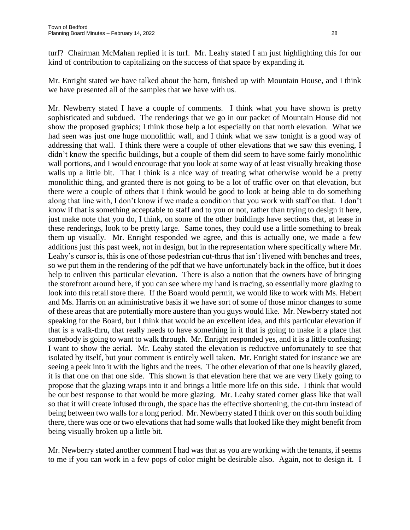turf? Chairman McMahan replied it is turf. Mr. Leahy stated I am just highlighting this for our kind of contribution to capitalizing on the success of that space by expanding it.

Mr. Enright stated we have talked about the barn, finished up with Mountain House, and I think we have presented all of the samples that we have with us.

Mr. Newberry stated I have a couple of comments. I think what you have shown is pretty sophisticated and subdued. The renderings that we go in our packet of Mountain House did not show the proposed graphics; I think those help a lot especially on that north elevation. What we had seen was just one huge monolithic wall, and I think what we saw tonight is a good way of addressing that wall. I think there were a couple of other elevations that we saw this evening, I didn't know the specific buildings, but a couple of them did seem to have some fairly monolithic wall portions, and I would encourage that you look at some way of at least visually breaking those walls up a little bit. That I think is a nice way of treating what otherwise would be a pretty monolithic thing, and granted there is not going to be a lot of traffic over on that elevation, but there were a couple of others that I think would be good to look at being able to do something along that line with, I don't know if we made a condition that you work with staff on that. I don't know if that is something acceptable to staff and to you or not, rather than trying to design it here, just make note that you do, I think, on some of the other buildings have sections that, at lease in these renderings, look to be pretty large. Same tones, they could use a little something to break them up visually. Mr. Enright responded we agree, and this is actually one, we made a few additions just this past week, not in design, but in the representation where specifically where Mr. Leahy's cursor is, this is one of those pedestrian cut-thrus that isn't livened with benches and trees, so we put them in the rendering of the pdf that we have unfortunately back in the office, but it does help to enliven this particular elevation. There is also a notion that the owners have of bringing the storefront around here, if you can see where my hand is tracing, so essentially more glazing to look into this retail store there. If the Board would permit, we would like to work with Ms. Hebert and Ms. Harris on an administrative basis if we have sort of some of those minor changes to some of these areas that are potentially more austere than you guys would like. Mr. Newberry stated not speaking for the Board, but I think that would be an excellent idea, and this particular elevation if that is a walk-thru, that really needs to have something in it that is going to make it a place that somebody is going to want to walk through. Mr. Enright responded yes, and it is a little confusing; I want to show the aerial. Mr. Leahy stated the elevation is reductive unfortunately to see that isolated by itself, but your comment is entirely well taken. Mr. Enright stated for instance we are seeing a peek into it with the lights and the trees. The other elevation of that one is heavily glazed, it is that one on that one side. This shown is that elevation here that we are very likely going to propose that the glazing wraps into it and brings a little more life on this side. I think that would be our best response to that would be more glazing. Mr. Leahy stated corner glass like that wall so that it will create infused through, the space has the effective shortening, the cut-thru instead of being between two walls for a long period. Mr. Newberry stated I think over on this south building there, there was one or two elevations that had some walls that looked like they might benefit from being visually broken up a little bit.

Mr. Newberry stated another comment I had was that as you are working with the tenants, if seems to me if you can work in a few pops of color might be desirable also. Again, not to design it. I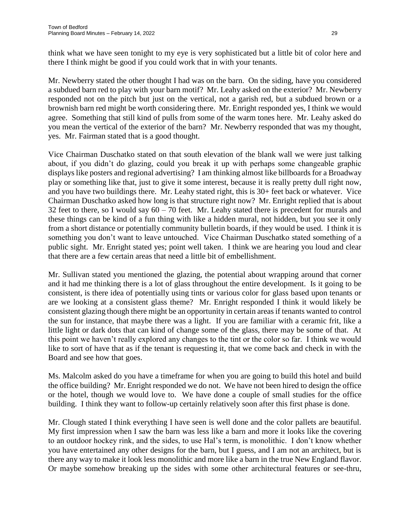think what we have seen tonight to my eye is very sophisticated but a little bit of color here and there I think might be good if you could work that in with your tenants.

Mr. Newberry stated the other thought I had was on the barn. On the siding, have you considered a subdued barn red to play with your barn motif? Mr. Leahy asked on the exterior? Mr. Newberry responded not on the pitch but just on the vertical, not a garish red, but a subdued brown or a brownish barn red might be worth considering there. Mr. Enright responded yes, I think we would agree. Something that still kind of pulls from some of the warm tones here. Mr. Leahy asked do you mean the vertical of the exterior of the barn? Mr. Newberry responded that was my thought, yes. Mr. Fairman stated that is a good thought.

Vice Chairman Duschatko stated on that south elevation of the blank wall we were just talking about, if you didn't do glazing, could you break it up with perhaps some changeable graphic displays like posters and regional advertising? I am thinking almost like billboards for a Broadway play or something like that, just to give it some interest, because it is really pretty dull right now, and you have two buildings there. Mr. Leahy stated right, this is 30+ feet back or whatever. Vice Chairman Duschatko asked how long is that structure right now? Mr. Enright replied that is about 32 feet to there, so I would say  $60 - 70$  feet. Mr. Leahy stated there is precedent for murals and these things can be kind of a fun thing with like a hidden mural, not hidden, but you see it only from a short distance or potentially community bulletin boards, if they would be used. I think it is something you don't want to leave untouched. Vice Chairman Duschatko stated something of a public sight. Mr. Enright stated yes; point well taken. I think we are hearing you loud and clear that there are a few certain areas that need a little bit of embellishment.

Mr. Sullivan stated you mentioned the glazing, the potential about wrapping around that corner and it had me thinking there is a lot of glass throughout the entire development. Is it going to be consistent, is there idea of potentially using tints or various color for glass based upon tenants or are we looking at a consistent glass theme? Mr. Enright responded I think it would likely be consistent glazing though there might be an opportunity in certain areas if tenants wanted to control the sun for instance, that maybe there was a light. If you are familiar with a ceramic frit, like a little light or dark dots that can kind of change some of the glass, there may be some of that. At this point we haven't really explored any changes to the tint or the color so far. I think we would like to sort of have that as if the tenant is requesting it, that we come back and check in with the Board and see how that goes.

Ms. Malcolm asked do you have a timeframe for when you are going to build this hotel and build the office building? Mr. Enright responded we do not. We have not been hired to design the office or the hotel, though we would love to. We have done a couple of small studies for the office building. I think they want to follow-up certainly relatively soon after this first phase is done.

Mr. Clough stated I think everything I have seen is well done and the color pallets are beautiful. My first impression when I saw the barn was less like a barn and more it looks like the covering to an outdoor hockey rink, and the sides, to use Hal's term, is monolithic. I don't know whether you have entertained any other designs for the barn, but I guess, and I am not an architect, but is there any way to make it look less monolithic and more like a barn in the true New England flavor. Or maybe somehow breaking up the sides with some other architectural features or see-thru,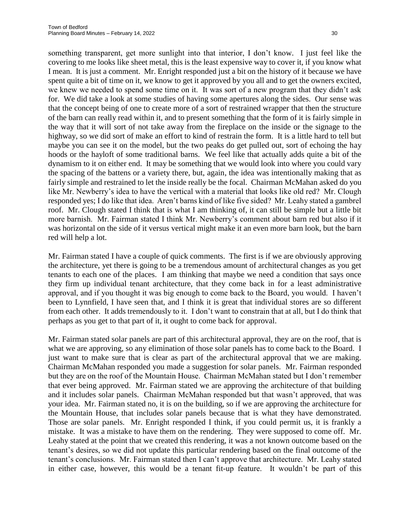something transparent, get more sunlight into that interior, I don't know. I just feel like the covering to me looks like sheet metal, this is the least expensive way to cover it, if you know what I mean. It is just a comment. Mr. Enright responded just a bit on the history of it because we have spent quite a bit of time on it, we know to get it approved by you all and to get the owners excited, we knew we needed to spend some time on it. It was sort of a new program that they didn't ask for. We did take a look at some studies of having some apertures along the sides. Our sense was that the concept being of one to create more of a sort of restrained wrapper that then the structure of the barn can really read within it, and to present something that the form of it is fairly simple in the way that it will sort of not take away from the fireplace on the inside or the signage to the highway, so we did sort of make an effort to kind of restrain the form. It is a little hard to tell but maybe you can see it on the model, but the two peaks do get pulled out, sort of echoing the hay hoods or the hayloft of some traditional barns. We feel like that actually adds quite a bit of the dynamism to it on either end. It may be something that we would look into where you could vary the spacing of the battens or a variety there, but, again, the idea was intentionally making that as fairly simple and restrained to let the inside really be the focal. Chairman McMahan asked do you like Mr. Newberry's idea to have the vertical with a material that looks like old red? Mr. Clough responded yes; I do like that idea. Aren't barns kind of like five sided? Mr. Leahy stated a gambrel roof. Mr. Clough stated I think that is what I am thinking of, it can still be simple but a little bit more barnish. Mr. Fairman stated I think Mr. Newberry's comment about barn red but also if it was horizontal on the side of it versus vertical might make it an even more barn look, but the barn red will help a lot.

Mr. Fairman stated I have a couple of quick comments. The first is if we are obviously approving the architecture, yet there is going to be a tremendous amount of architectural changes as you get tenants to each one of the places. I am thinking that maybe we need a condition that says once they firm up individual tenant architecture, that they come back in for a least administrative approval, and if you thought it was big enough to come back to the Board, you would. I haven't been to Lynnfield, I have seen that, and I think it is great that individual stores are so different from each other. It adds tremendously to it. I don't want to constrain that at all, but I do think that perhaps as you get to that part of it, it ought to come back for approval.

Mr. Fairman stated solar panels are part of this architectural approval, they are on the roof, that is what we are approving, so any elimination of those solar panels has to come back to the Board. I just want to make sure that is clear as part of the architectural approval that we are making. Chairman McMahan responded you made a suggestion for solar panels. Mr. Fairman responded but they are on the roof of the Mountain House. Chairman McMahan stated but I don't remember that ever being approved. Mr. Fairman stated we are approving the architecture of that building and it includes solar panels. Chairman McMahan responded but that wasn't approved, that was your idea. Mr. Fairman stated no, it is on the building, so if we are approving the architecture for the Mountain House, that includes solar panels because that is what they have demonstrated. Those are solar panels. Mr. Enright responded I think, if you could permit us, it is frankly a mistake. It was a mistake to have them on the rendering. They were supposed to come off. Mr. Leahy stated at the point that we created this rendering, it was a not known outcome based on the tenant's desires, so we did not update this particular rendering based on the final outcome of the tenant's conclusions. Mr. Fairman stated then I can't approve that architecture. Mr. Leahy stated in either case, however, this would be a tenant fit-up feature. It wouldn't be part of this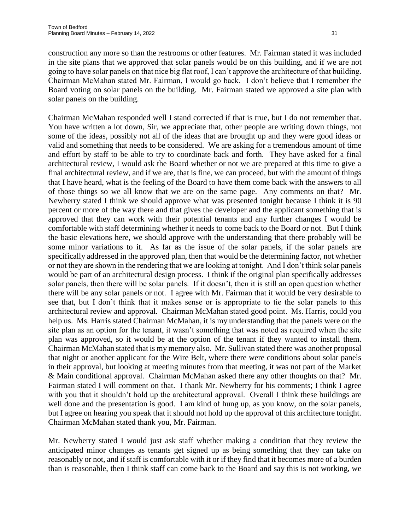construction any more so than the restrooms or other features. Mr. Fairman stated it was included in the site plans that we approved that solar panels would be on this building, and if we are not going to have solar panels on that nice big flat roof, I can't approve the architecture of that building. Chairman McMahan stated Mr. Fairman, I would go back. I don't believe that I remember the Board voting on solar panels on the building. Mr. Fairman stated we approved a site plan with solar panels on the building.

Chairman McMahan responded well I stand corrected if that is true, but I do not remember that. You have written a lot down, Sir, we appreciate that, other people are writing down things, not some of the ideas, possibly not all of the ideas that are brought up and they were good ideas or valid and something that needs to be considered. We are asking for a tremendous amount of time and effort by staff to be able to try to coordinate back and forth. They have asked for a final architectural review, I would ask the Board whether or not we are prepared at this time to give a final architectural review, and if we are, that is fine, we can proceed, but with the amount of things that I have heard, what is the feeling of the Board to have them come back with the answers to all of those things so we all know that we are on the same page. Any comments on that? Mr. Newberry stated I think we should approve what was presented tonight because I think it is 90 percent or more of the way there and that gives the developer and the applicant something that is approved that they can work with their potential tenants and any further changes I would be comfortable with staff determining whether it needs to come back to the Board or not. But I think the basic elevations here, we should approve with the understanding that there probably will be some minor variations to it. As far as the issue of the solar panels, if the solar panels are specifically addressed in the approved plan, then that would be the determining factor, not whether or not they are shown in the rendering that we are looking at tonight. And I don't think solar panels would be part of an architectural design process. I think if the original plan specifically addresses solar panels, then there will be solar panels. If it doesn't, then it is still an open question whether there will be any solar panels or not. I agree with Mr. Fairman that it would be very desirable to see that, but I don't think that it makes sense or is appropriate to tie the solar panels to this architectural review and approval. Chairman McMahan stated good point. Ms. Harris, could you help us. Ms. Harris stated Chairman McMahan, it is my understanding that the panels were on the site plan as an option for the tenant, it wasn't something that was noted as required when the site plan was approved, so it would be at the option of the tenant if they wanted to install them. Chairman McMahan stated that is my memory also. Mr. Sullivan stated there was another proposal that night or another applicant for the Wire Belt, where there were conditions about solar panels in their approval, but looking at meeting minutes from that meeting, it was not part of the Market & Main conditional approval. Chairman McMahan asked there any other thoughts on that? Mr. Fairman stated I will comment on that. I thank Mr. Newberry for his comments; I think I agree with you that it shouldn't hold up the architectural approval. Overall I think these buildings are well done and the presentation is good. I am kind of hung up, as you know, on the solar panels, but I agree on hearing you speak that it should not hold up the approval of this architecture tonight. Chairman McMahan stated thank you, Mr. Fairman.

Mr. Newberry stated I would just ask staff whether making a condition that they review the anticipated minor changes as tenants get signed up as being something that they can take on reasonably or not, and if staff is comfortable with it or if they find that it becomes more of a burden than is reasonable, then I think staff can come back to the Board and say this is not working, we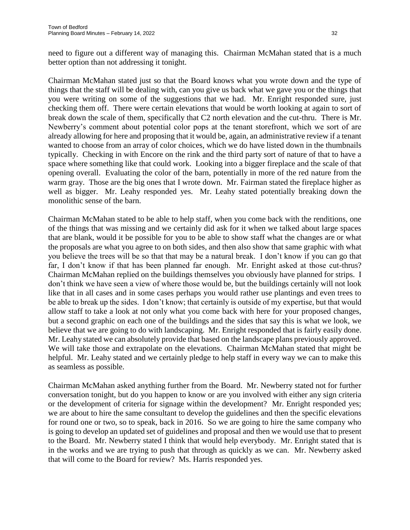need to figure out a different way of managing this. Chairman McMahan stated that is a much better option than not addressing it tonight.

Chairman McMahan stated just so that the Board knows what you wrote down and the type of things that the staff will be dealing with, can you give us back what we gave you or the things that you were writing on some of the suggestions that we had. Mr. Enright responded sure, just checking them off. There were certain elevations that would be worth looking at again to sort of break down the scale of them, specifically that C2 north elevation and the cut-thru. There is Mr. Newberry's comment about potential color pops at the tenant storefront, which we sort of are already allowing for here and proposing that it would be, again, an administrative review if a tenant wanted to choose from an array of color choices, which we do have listed down in the thumbnails typically. Checking in with Encore on the rink and the third party sort of nature of that to have a space where something like that could work. Looking into a bigger fireplace and the scale of that opening overall. Evaluating the color of the barn, potentially in more of the red nature from the warm gray. Those are the big ones that I wrote down. Mr. Fairman stated the fireplace higher as well as bigger. Mr. Leahy responded yes. Mr. Leahy stated potentially breaking down the monolithic sense of the barn.

Chairman McMahan stated to be able to help staff, when you come back with the renditions, one of the things that was missing and we certainly did ask for it when we talked about large spaces that are blank, would it be possible for you to be able to show staff what the changes are or what the proposals are what you agree to on both sides, and then also show that same graphic with what you believe the trees will be so that that may be a natural break. I don't know if you can go that far, I don't know if that has been planned far enough. Mr. Enright asked at those cut-thrus? Chairman McMahan replied on the buildings themselves you obviously have planned for strips. I don't think we have seen a view of where those would be, but the buildings certainly will not look like that in all cases and in some cases perhaps you would rather use plantings and even trees to be able to break up the sides. I don't know; that certainly is outside of my expertise, but that would allow staff to take a look at not only what you come back with here for your proposed changes, but a second graphic on each one of the buildings and the sides that say this is what we look, we believe that we are going to do with landscaping. Mr. Enright responded that is fairly easily done. Mr. Leahy stated we can absolutely provide that based on the landscape plans previously approved. We will take those and extrapolate on the elevations. Chairman McMahan stated that might be helpful. Mr. Leahy stated and we certainly pledge to help staff in every way we can to make this as seamless as possible.

Chairman McMahan asked anything further from the Board. Mr. Newberry stated not for further conversation tonight, but do you happen to know or are you involved with either any sign criteria or the development of criteria for signage within the development? Mr. Enright responded yes; we are about to hire the same consultant to develop the guidelines and then the specific elevations for round one or two, so to speak, back in 2016. So we are going to hire the same company who is going to develop an updated set of guidelines and proposal and then we would use that to present to the Board. Mr. Newberry stated I think that would help everybody. Mr. Enright stated that is in the works and we are trying to push that through as quickly as we can. Mr. Newberry asked that will come to the Board for review? Ms. Harris responded yes.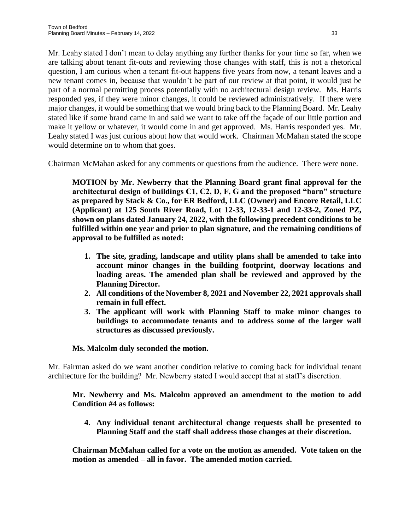Mr. Leahy stated I don't mean to delay anything any further thanks for your time so far, when we are talking about tenant fit-outs and reviewing those changes with staff, this is not a rhetorical question, I am curious when a tenant fit-out happens five years from now, a tenant leaves and a new tenant comes in, because that wouldn't be part of our review at that point, it would just be part of a normal permitting process potentially with no architectural design review. Ms. Harris responded yes, if they were minor changes, it could be reviewed administratively. If there were major changes, it would be something that we would bring back to the Planning Board. Mr. Leahy stated like if some brand came in and said we want to take off the façade of our little portion and make it yellow or whatever, it would come in and get approved. Ms. Harris responded yes. Mr. Leahy stated I was just curious about how that would work. Chairman McMahan stated the scope would determine on to whom that goes.

Chairman McMahan asked for any comments or questions from the audience. There were none.

**MOTION by Mr. Newberry that the Planning Board grant final approval for the architectural design of buildings C1, C2, D, F, G and the proposed "barn" structure as prepared by Stack & Co., for ER Bedford, LLC (Owner) and Encore Retail, LLC (Applicant) at 125 South River Road, Lot 12-33, 12-33-1 and 12-33-2, Zoned PZ, shown on plans dated January 24, 2022, with the following precedent conditions to be fulfilled within one year and prior to plan signature, and the remaining conditions of approval to be fulfilled as noted:**

- **1. The site, grading, landscape and utility plans shall be amended to take into account minor changes in the building footprint, doorway locations and loading areas. The amended plan shall be reviewed and approved by the Planning Director.**
- **2. All conditions of the November 8, 2021 and November 22, 2021 approvals shall remain in full effect.**
- **3. The applicant will work with Planning Staff to make minor changes to buildings to accommodate tenants and to address some of the larger wall structures as discussed previously.**

# **Ms. Malcolm duly seconded the motion.**

Mr. Fairman asked do we want another condition relative to coming back for individual tenant architecture for the building? Mr. Newberry stated I would accept that at staff's discretion.

## **Mr. Newberry and Ms. Malcolm approved an amendment to the motion to add Condition #4 as follows:**

**4. Any individual tenant architectural change requests shall be presented to Planning Staff and the staff shall address those changes at their discretion.** 

**Chairman McMahan called for a vote on the motion as amended. Vote taken on the motion as amended – all in favor. The amended motion carried.**